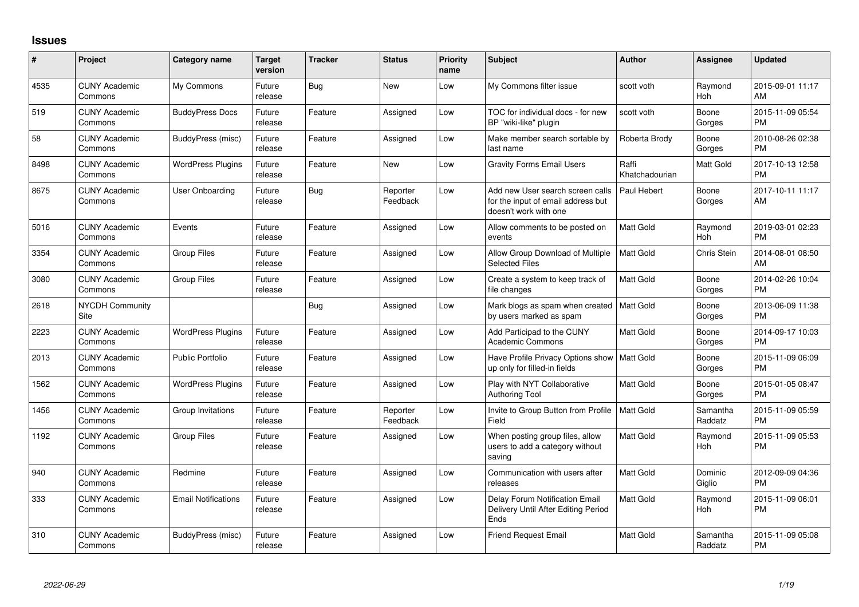## **Issues**

| #    | Project                         | Category name              | <b>Target</b><br>version | <b>Tracker</b> | <b>Status</b>        | <b>Priority</b><br>name | <b>Subject</b>                                                                                  | <b>Author</b>           | <b>Assignee</b>     | <b>Updated</b>                |
|------|---------------------------------|----------------------------|--------------------------|----------------|----------------------|-------------------------|-------------------------------------------------------------------------------------------------|-------------------------|---------------------|-------------------------------|
| 4535 | <b>CUNY Academic</b><br>Commons | My Commons                 | Future<br>release        | Bug            | New                  | Low                     | My Commons filter issue                                                                         | scott voth              | Raymond<br>Hoh      | 2015-09-01 11:17<br>AM        |
| 519  | <b>CUNY Academic</b><br>Commons | <b>BuddyPress Docs</b>     | Future<br>release        | Feature        | Assigned             | Low                     | TOC for individual docs - for new<br>BP "wiki-like" plugin                                      | scott voth              | Boone<br>Gorges     | 2015-11-09 05:54<br><b>PM</b> |
| 58   | <b>CUNY Academic</b><br>Commons | <b>BuddyPress</b> (misc)   | Future<br>release        | Feature        | Assigned             | Low                     | Make member search sortable by<br>last name                                                     | Roberta Brody           | Boone<br>Gorges     | 2010-08-26 02:38<br><b>PM</b> |
| 8498 | <b>CUNY Academic</b><br>Commons | <b>WordPress Plugins</b>   | Future<br>release        | Feature        | New                  | Low                     | <b>Gravity Forms Email Users</b>                                                                | Raffi<br>Khatchadourian | Matt Gold           | 2017-10-13 12:58<br><b>PM</b> |
| 8675 | <b>CUNY Academic</b><br>Commons | <b>User Onboarding</b>     | Future<br>release        | Bug            | Reporter<br>Feedback | Low                     | Add new User search screen calls<br>for the input of email address but<br>doesn't work with one | Paul Hebert             | Boone<br>Gorges     | 2017-10-11 11:17<br>AM        |
| 5016 | <b>CUNY Academic</b><br>Commons | Events                     | Future<br>release        | Feature        | Assigned             | Low                     | Allow comments to be posted on<br>events                                                        | <b>Matt Gold</b>        | Raymond<br>Hoh      | 2019-03-01 02:23<br><b>PM</b> |
| 3354 | <b>CUNY Academic</b><br>Commons | <b>Group Files</b>         | Future<br>release        | Feature        | Assigned             | Low                     | Allow Group Download of Multiple<br><b>Selected Files</b>                                       | <b>Matt Gold</b>        | <b>Chris Stein</b>  | 2014-08-01 08:50<br>AM        |
| 3080 | <b>CUNY Academic</b><br>Commons | <b>Group Files</b>         | Future<br>release        | Feature        | Assigned             | Low                     | Create a system to keep track of<br>file changes                                                | <b>Matt Gold</b>        | Boone<br>Gorges     | 2014-02-26 10:04<br><b>PM</b> |
| 2618 | <b>NYCDH Community</b><br>Site  |                            |                          | Bug            | Assigned             | Low                     | Mark blogs as spam when created<br>by users marked as spam                                      | Matt Gold               | Boone<br>Gorges     | 2013-06-09 11:38<br><b>PM</b> |
| 2223 | <b>CUNY Academic</b><br>Commons | <b>WordPress Plugins</b>   | Future<br>release        | Feature        | Assigned             | Low                     | Add Participad to the CUNY<br><b>Academic Commons</b>                                           | <b>Matt Gold</b>        | Boone<br>Gorges     | 2014-09-17 10:03<br><b>PM</b> |
| 2013 | <b>CUNY Academic</b><br>Commons | <b>Public Portfolio</b>    | Future<br>release        | Feature        | Assigned             | Low                     | Have Profile Privacy Options show<br>up only for filled-in fields                               | Matt Gold               | Boone<br>Gorges     | 2015-11-09 06:09<br><b>PM</b> |
| 1562 | <b>CUNY Academic</b><br>Commons | <b>WordPress Plugins</b>   | Future<br>release        | Feature        | Assigned             | Low                     | Play with NYT Collaborative<br><b>Authoring Tool</b>                                            | Matt Gold               | Boone<br>Gorges     | 2015-01-05 08:47<br><b>PM</b> |
| 1456 | <b>CUNY Academic</b><br>Commons | Group Invitations          | Future<br>release        | Feature        | Reporter<br>Feedback | Low                     | Invite to Group Button from Profile<br>Field                                                    | Matt Gold               | Samantha<br>Raddatz | 2015-11-09 05:59<br><b>PM</b> |
| 1192 | <b>CUNY Academic</b><br>Commons | <b>Group Files</b>         | Future<br>release        | Feature        | Assigned             | Low                     | When posting group files, allow<br>users to add a category without<br>saving                    | Matt Gold               | Raymond<br>Hoh      | 2015-11-09 05:53<br>PM        |
| 940  | <b>CUNY Academic</b><br>Commons | Redmine                    | Future<br>release        | Feature        | Assigned             | Low                     | Communication with users after<br>releases                                                      | Matt Gold               | Dominic<br>Giglio   | 2012-09-09 04:36<br><b>PM</b> |
| 333  | <b>CUNY Academic</b><br>Commons | <b>Email Notifications</b> | Future<br>release        | Feature        | Assigned             | Low                     | Delay Forum Notification Email<br>Delivery Until After Editing Period<br>Ends                   | <b>Matt Gold</b>        | Raymond<br>Hoh      | 2015-11-09 06:01<br><b>PM</b> |
| 310  | <b>CUNY Academic</b><br>Commons | BuddyPress (misc)          | Future<br>release        | Feature        | Assigned             | Low                     | <b>Friend Request Email</b>                                                                     | Matt Gold               | Samantha<br>Raddatz | 2015-11-09 05:08<br><b>PM</b> |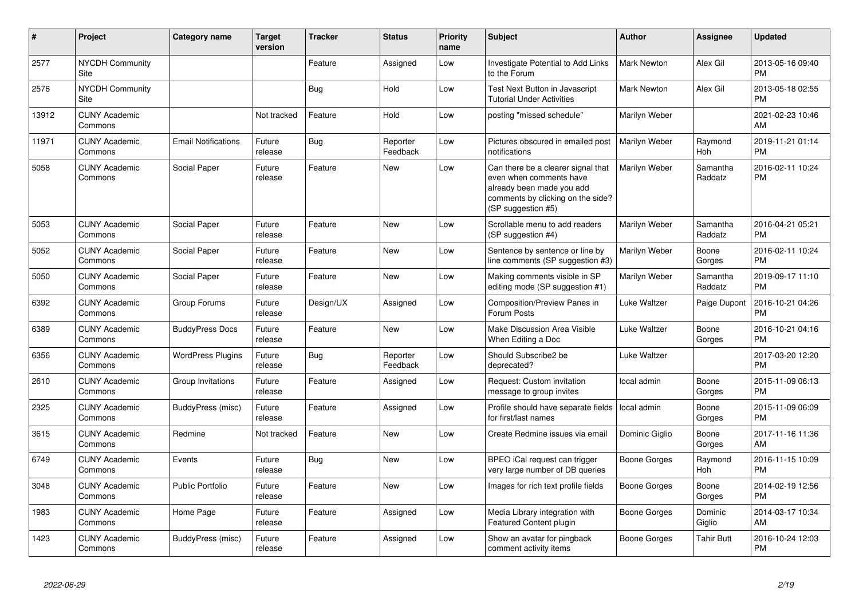| #     | Project                         | <b>Category name</b>       | <b>Target</b><br>version | <b>Tracker</b> | <b>Status</b>        | <b>Priority</b><br>name | <b>Subject</b>                                                                                                                                        | <b>Author</b>       | Assignee            | <b>Updated</b>                |
|-------|---------------------------------|----------------------------|--------------------------|----------------|----------------------|-------------------------|-------------------------------------------------------------------------------------------------------------------------------------------------------|---------------------|---------------------|-------------------------------|
| 2577  | <b>NYCDH Community</b><br>Site  |                            |                          | Feature        | Assigned             | Low                     | Investigate Potential to Add Links<br>to the Forum                                                                                                    | <b>Mark Newton</b>  | Alex Gil            | 2013-05-16 09:40<br><b>PM</b> |
| 2576  | <b>NYCDH Community</b><br>Site  |                            |                          | Bug            | Hold                 | Low                     | Test Next Button in Javascript<br><b>Tutorial Under Activities</b>                                                                                    | <b>Mark Newton</b>  | Alex Gil            | 2013-05-18 02:55<br><b>PM</b> |
| 13912 | <b>CUNY Academic</b><br>Commons |                            | Not tracked              | Feature        | Hold                 | Low                     | posting "missed schedule"                                                                                                                             | Marilyn Weber       |                     | 2021-02-23 10:46<br>AM        |
| 11971 | <b>CUNY Academic</b><br>Commons | <b>Email Notifications</b> | Future<br>release        | Bug            | Reporter<br>Feedback | Low                     | Pictures obscured in emailed post<br>notifications                                                                                                    | Marilyn Weber       | Raymond<br>Hoh      | 2019-11-21 01:14<br><b>PM</b> |
| 5058  | <b>CUNY Academic</b><br>Commons | Social Paper               | Future<br>release        | Feature        | <b>New</b>           | Low                     | Can there be a clearer signal that<br>even when comments have<br>already been made you add<br>comments by clicking on the side?<br>(SP suggestion #5) | Marilyn Weber       | Samantha<br>Raddatz | 2016-02-11 10:24<br><b>PM</b> |
| 5053  | <b>CUNY Academic</b><br>Commons | Social Paper               | Future<br>release        | Feature        | <b>New</b>           | Low                     | Scrollable menu to add readers<br>(SP suggestion #4)                                                                                                  | Marilyn Weber       | Samantha<br>Raddatz | 2016-04-21 05:21<br><b>PM</b> |
| 5052  | <b>CUNY Academic</b><br>Commons | Social Paper               | Future<br>release        | Feature        | <b>New</b>           | Low                     | Sentence by sentence or line by<br>line comments (SP suggestion #3)                                                                                   | Marilyn Weber       | Boone<br>Gorges     | 2016-02-11 10:24<br><b>PM</b> |
| 5050  | <b>CUNY Academic</b><br>Commons | Social Paper               | Future<br>release        | Feature        | <b>New</b>           | Low                     | Making comments visible in SP<br>editing mode (SP suggestion #1)                                                                                      | Marilyn Weber       | Samantha<br>Raddatz | 2019-09-17 11:10<br><b>PM</b> |
| 6392  | <b>CUNY Academic</b><br>Commons | Group Forums               | Future<br>release        | Design/UX      | Assigned             | Low                     | Composition/Preview Panes in<br>Forum Posts                                                                                                           | Luke Waltzer        | Paige Dupont        | 2016-10-21 04:26<br><b>PM</b> |
| 6389  | <b>CUNY Academic</b><br>Commons | <b>BuddyPress Docs</b>     | Future<br>release        | Feature        | <b>New</b>           | Low                     | Make Discussion Area Visible<br>When Editing a Doc                                                                                                    | Luke Waltzer        | Boone<br>Gorges     | 2016-10-21 04:16<br><b>PM</b> |
| 6356  | <b>CUNY Academic</b><br>Commons | <b>WordPress Plugins</b>   | Future<br>release        | Bug            | Reporter<br>Feedback | Low                     | Should Subscribe2 be<br>deprecated?                                                                                                                   | Luke Waltzer        |                     | 2017-03-20 12:20<br><b>PM</b> |
| 2610  | <b>CUNY Academic</b><br>Commons | Group Invitations          | Future<br>release        | Feature        | Assigned             | Low                     | Request: Custom invitation<br>message to group invites                                                                                                | local admin         | Boone<br>Gorges     | 2015-11-09 06:13<br><b>PM</b> |
| 2325  | <b>CUNY Academic</b><br>Commons | BuddyPress (misc)          | Future<br>release        | Feature        | Assigned             | Low                     | Profile should have separate fields<br>for first/last names                                                                                           | l local admin       | Boone<br>Gorges     | 2015-11-09 06:09<br><b>PM</b> |
| 3615  | <b>CUNY Academic</b><br>Commons | Redmine                    | Not tracked              | Feature        | <b>New</b>           | Low                     | Create Redmine issues via email                                                                                                                       | Dominic Giglio      | Boone<br>Gorges     | 2017-11-16 11:36<br>AM        |
| 6749  | <b>CUNY Academic</b><br>Commons | Events                     | Future<br>release        | Bug            | <b>New</b>           | Low                     | BPEO iCal request can trigger<br>very large number of DB queries                                                                                      | <b>Boone Gorges</b> | Raymond<br>Hoh      | 2016-11-15 10:09<br><b>PM</b> |
| 3048  | <b>CUNY Academic</b><br>Commons | <b>Public Portfolio</b>    | Future<br>release        | Feature        | <b>New</b>           | Low                     | Images for rich text profile fields                                                                                                                   | Boone Gorges        | Boone<br>Gorges     | 2014-02-19 12:56<br><b>PM</b> |
| 1983  | <b>CUNY Academic</b><br>Commons | Home Page                  | Future<br>release        | Feature        | Assigned             | Low                     | Media Library integration with<br>Featured Content plugin                                                                                             | Boone Gorges        | Dominic<br>Giglio   | 2014-03-17 10:34<br>AM        |
| 1423  | <b>CUNY Academic</b><br>Commons | BuddyPress (misc)          | Future<br>release        | Feature        | Assigned             | Low                     | Show an avatar for pingback<br>comment activity items                                                                                                 | Boone Gorges        | <b>Tahir Butt</b>   | 2016-10-24 12:03<br><b>PM</b> |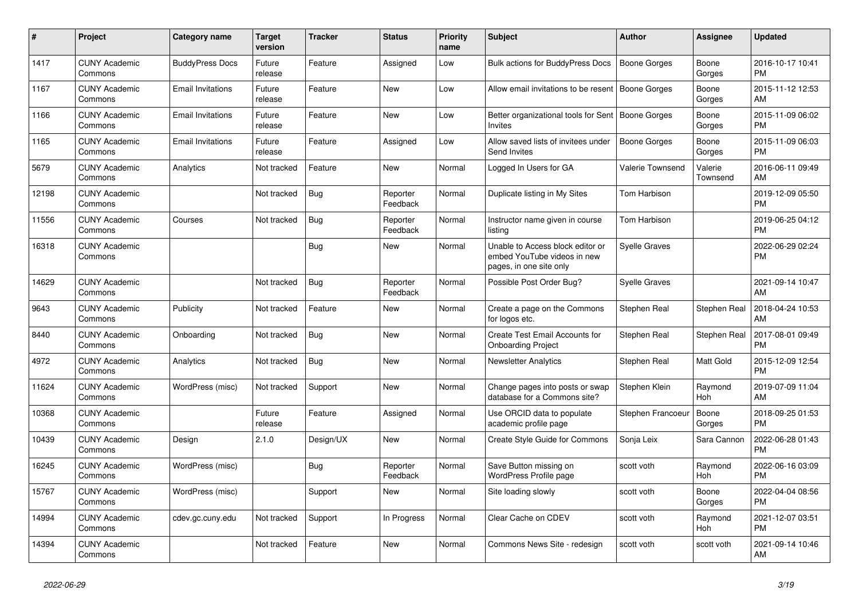| #     | Project                         | <b>Category name</b>     | <b>Target</b><br>version | <b>Tracker</b> | <b>Status</b>        | <b>Priority</b><br>name | <b>Subject</b>                                                                             | <b>Author</b>        | Assignee            | <b>Updated</b>                |
|-------|---------------------------------|--------------------------|--------------------------|----------------|----------------------|-------------------------|--------------------------------------------------------------------------------------------|----------------------|---------------------|-------------------------------|
| 1417  | <b>CUNY Academic</b><br>Commons | <b>BuddyPress Docs</b>   | Future<br>release        | Feature        | Assigned             | Low                     | Bulk actions for BuddyPress Docs                                                           | Boone Gorges         | Boone<br>Gorges     | 2016-10-17 10:41<br><b>PM</b> |
| 1167  | <b>CUNY Academic</b><br>Commons | <b>Email Invitations</b> | Future<br>release        | Feature        | New                  | Low                     | Allow email invitations to be resent   Boone Gorges                                        |                      | Boone<br>Gorges     | 2015-11-12 12:53<br>AM        |
| 1166  | <b>CUNY Academic</b><br>Commons | Email Invitations        | Future<br>release        | Feature        | New                  | Low                     | Better organizational tools for Sent<br>Invites                                            | Boone Gorges         | Boone<br>Gorges     | 2015-11-09 06:02<br><b>PM</b> |
| 1165  | <b>CUNY Academic</b><br>Commons | <b>Email Invitations</b> | Future<br>release        | Feature        | Assigned             | Low                     | Allow saved lists of invitees under<br>Send Invites                                        | Boone Gorges         | Boone<br>Gorges     | 2015-11-09 06:03<br><b>PM</b> |
| 5679  | <b>CUNY Academic</b><br>Commons | Analytics                | Not tracked              | Feature        | New                  | Normal                  | Logged In Users for GA                                                                     | Valerie Townsend     | Valerie<br>Townsend | 2016-06-11 09:49<br>AM        |
| 12198 | <b>CUNY Academic</b><br>Commons |                          | Not tracked              | <b>Bug</b>     | Reporter<br>Feedback | Normal                  | Duplicate listing in My Sites                                                              | Tom Harbison         |                     | 2019-12-09 05:50<br><b>PM</b> |
| 11556 | <b>CUNY Academic</b><br>Commons | Courses                  | Not tracked              | Bug            | Reporter<br>Feedback | Normal                  | Instructor name given in course<br>listing                                                 | Tom Harbison         |                     | 2019-06-25 04:12<br><b>PM</b> |
| 16318 | <b>CUNY Academic</b><br>Commons |                          |                          | Bug            | <b>New</b>           | Normal                  | Unable to Access block editor or<br>embed YouTube videos in new<br>pages, in one site only | <b>Syelle Graves</b> |                     | 2022-06-29 02:24<br><b>PM</b> |
| 14629 | <b>CUNY Academic</b><br>Commons |                          | Not tracked              | <b>Bug</b>     | Reporter<br>Feedback | Normal                  | Possible Post Order Bug?                                                                   | <b>Syelle Graves</b> |                     | 2021-09-14 10:47<br>AM        |
| 9643  | <b>CUNY Academic</b><br>Commons | Publicity                | Not tracked              | Feature        | <b>New</b>           | Normal                  | Create a page on the Commons<br>for logos etc.                                             | Stephen Real         | Stephen Real        | 2018-04-24 10:53<br>AM        |
| 8440  | <b>CUNY Academic</b><br>Commons | Onboarding               | Not tracked              | Bug            | New                  | Normal                  | Create Test Email Accounts for<br><b>Onboarding Project</b>                                | Stephen Real         | Stephen Real        | 2017-08-01 09:49<br><b>PM</b> |
| 4972  | <b>CUNY Academic</b><br>Commons | Analytics                | Not tracked              | <b>Bug</b>     | <b>New</b>           | Normal                  | <b>Newsletter Analytics</b>                                                                | Stephen Real         | Matt Gold           | 2015-12-09 12:54<br><b>PM</b> |
| 11624 | <b>CUNY Academic</b><br>Commons | WordPress (misc)         | Not tracked              | Support        | <b>New</b>           | Normal                  | Change pages into posts or swap<br>database for a Commons site?                            | Stephen Klein        | Raymond<br>Hoh      | 2019-07-09 11:04<br>AM        |
| 10368 | <b>CUNY Academic</b><br>Commons |                          | Future<br>release        | Feature        | Assigned             | Normal                  | Use ORCID data to populate<br>academic profile page                                        | Stephen Francoeur    | Boone<br>Gorges     | 2018-09-25 01:53<br><b>PM</b> |
| 10439 | <b>CUNY Academic</b><br>Commons | Design                   | 2.1.0                    | Design/UX      | <b>New</b>           | Normal                  | Create Style Guide for Commons                                                             | Sonja Leix           | Sara Cannon         | 2022-06-28 01:43<br><b>PM</b> |
| 16245 | <b>CUNY Academic</b><br>Commons | WordPress (misc)         |                          | Bug            | Reporter<br>Feedback | Normal                  | Save Button missing on<br>WordPress Profile page                                           | scott voth           | Raymond<br>Hoh      | 2022-06-16 03:09<br><b>PM</b> |
| 15767 | <b>CUNY Academic</b><br>Commons | WordPress (misc)         |                          | Support        | <b>New</b>           | Normal                  | Site loading slowly                                                                        | scott voth           | Boone<br>Gorges     | 2022-04-04 08:56<br><b>PM</b> |
| 14994 | <b>CUNY Academic</b><br>Commons | cdev.gc.cuny.edu         | Not tracked              | Support        | In Progress          | Normal                  | Clear Cache on CDEV                                                                        | scott voth           | Raymond<br>Hoh      | 2021-12-07 03:51<br><b>PM</b> |
| 14394 | <b>CUNY Academic</b><br>Commons |                          | Not tracked              | Feature        | <b>New</b>           | Normal                  | Commons News Site - redesign                                                               | scott voth           | scott voth          | 2021-09-14 10:46<br>AM        |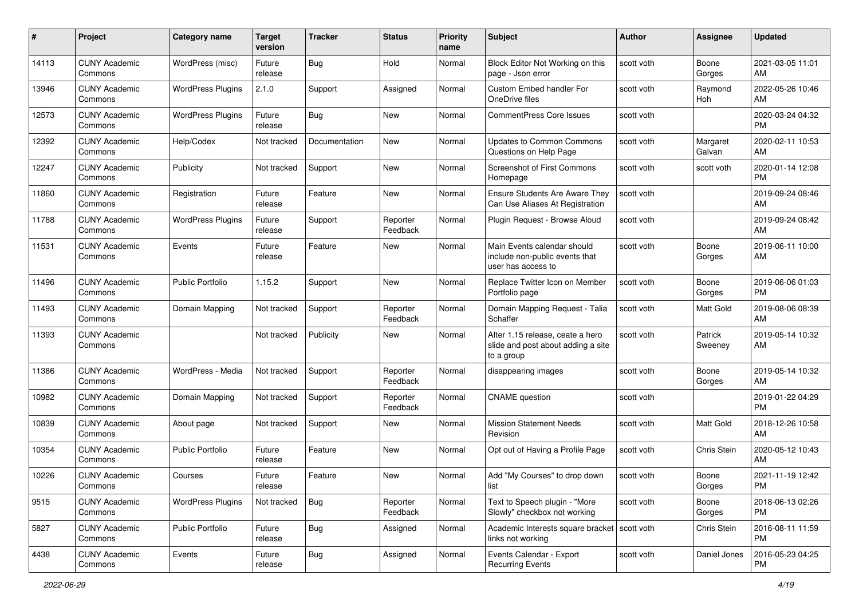| #     | Project                         | <b>Category name</b>     | <b>Target</b><br>version | <b>Tracker</b> | <b>Status</b>        | <b>Priority</b><br>name | <b>Subject</b>                                                                       | Author     | <b>Assignee</b>    | <b>Updated</b>                |
|-------|---------------------------------|--------------------------|--------------------------|----------------|----------------------|-------------------------|--------------------------------------------------------------------------------------|------------|--------------------|-------------------------------|
| 14113 | <b>CUNY Academic</b><br>Commons | WordPress (misc)         | Future<br>release        | Bug            | Hold                 | Normal                  | Block Editor Not Working on this<br>page - Json error                                | scott voth | Boone<br>Gorges    | 2021-03-05 11:01<br>AM        |
| 13946 | <b>CUNY Academic</b><br>Commons | <b>WordPress Plugins</b> | 2.1.0                    | Support        | Assigned             | Normal                  | Custom Embed handler For<br>OneDrive files                                           | scott voth | Raymond<br>Hoh     | 2022-05-26 10:46<br>AM        |
| 12573 | <b>CUNY Academic</b><br>Commons | <b>WordPress Plugins</b> | Future<br>release        | Bug            | New                  | Normal                  | <b>CommentPress Core Issues</b>                                                      | scott voth |                    | 2020-03-24 04:32<br><b>PM</b> |
| 12392 | <b>CUNY Academic</b><br>Commons | Help/Codex               | Not tracked              | Documentation  | <b>New</b>           | Normal                  | <b>Updates to Common Commons</b><br>Questions on Help Page                           | scott voth | Margaret<br>Galvan | 2020-02-11 10:53<br>AM        |
| 12247 | <b>CUNY Academic</b><br>Commons | Publicity                | Not tracked              | Support        | <b>New</b>           | Normal                  | Screenshot of First Commons<br>Homepage                                              | scott voth | scott voth         | 2020-01-14 12:08<br><b>PM</b> |
| 11860 | <b>CUNY Academic</b><br>Commons | Registration             | Future<br>release        | Feature        | <b>New</b>           | Normal                  | Ensure Students Are Aware They<br>Can Use Aliases At Registration                    | scott voth |                    | 2019-09-24 08:46<br>AM        |
| 11788 | <b>CUNY Academic</b><br>Commons | <b>WordPress Plugins</b> | Future<br>release        | Support        | Reporter<br>Feedback | Normal                  | Plugin Request - Browse Aloud                                                        | scott voth |                    | 2019-09-24 08:42<br>AM        |
| 11531 | <b>CUNY Academic</b><br>Commons | Events                   | Future<br>release        | Feature        | <b>New</b>           | Normal                  | Main Events calendar should<br>include non-public events that<br>user has access to  | scott voth | Boone<br>Gorges    | 2019-06-11 10:00<br>AM        |
| 11496 | <b>CUNY Academic</b><br>Commons | Public Portfolio         | 1.15.2                   | Support        | <b>New</b>           | Normal                  | Replace Twitter Icon on Member<br>Portfolio page                                     | scott voth | Boone<br>Gorges    | 2019-06-06 01:03<br><b>PM</b> |
| 11493 | <b>CUNY Academic</b><br>Commons | Domain Mapping           | Not tracked              | Support        | Reporter<br>Feedback | Normal                  | Domain Mapping Request - Talia<br>Schaffer                                           | scott voth | Matt Gold          | 2019-08-06 08:39<br>AM        |
| 11393 | <b>CUNY Academic</b><br>Commons |                          | Not tracked              | Publicity      | New                  | Normal                  | After 1.15 release, ceate a hero<br>slide and post about adding a site<br>to a group | scott voth | Patrick<br>Sweeney | 2019-05-14 10:32<br>AM        |
| 11386 | <b>CUNY Academic</b><br>Commons | WordPress - Media        | Not tracked              | Support        | Reporter<br>Feedback | Normal                  | disappearing images                                                                  | scott voth | Boone<br>Gorges    | 2019-05-14 10:32<br>AM        |
| 10982 | <b>CUNY Academic</b><br>Commons | Domain Mapping           | Not tracked              | Support        | Reporter<br>Feedback | Normal                  | <b>CNAME</b> question                                                                | scott voth |                    | 2019-01-22 04:29<br><b>PM</b> |
| 10839 | <b>CUNY Academic</b><br>Commons | About page               | Not tracked              | Support        | New                  | Normal                  | <b>Mission Statement Needs</b><br>Revision                                           | scott voth | Matt Gold          | 2018-12-26 10:58<br>AM        |
| 10354 | <b>CUNY Academic</b><br>Commons | <b>Public Portfolio</b>  | Future<br>release        | Feature        | New                  | Normal                  | Opt out of Having a Profile Page                                                     | scott voth | Chris Stein        | 2020-05-12 10:43<br>AM        |
| 10226 | <b>CUNY Academic</b><br>Commons | Courses                  | Future<br>release        | Feature        | New                  | Normal                  | Add "My Courses" to drop down<br>list                                                | scott voth | Boone<br>Gorges    | 2021-11-19 12:42<br>PM        |
| 9515  | <b>CUNY Academic</b><br>Commons | <b>WordPress Plugins</b> | Not tracked              | <b>Bug</b>     | Reporter<br>Feedback | Normal                  | Text to Speech plugin - "More<br>Slowly" checkbox not working                        | scott voth | Boone<br>Gorges    | 2018-06-13 02:26<br><b>PM</b> |
| 5827  | <b>CUNY Academic</b><br>Commons | <b>Public Portfolio</b>  | Future<br>release        | <b>Bug</b>     | Assigned             | Normal                  | Academic Interests square bracket   scott voth<br>links not working                  |            | Chris Stein        | 2016-08-11 11:59<br><b>PM</b> |
| 4438  | <b>CUNY Academic</b><br>Commons | Events                   | Future<br>release        | <b>Bug</b>     | Assigned             | Normal                  | Events Calendar - Export<br><b>Recurring Events</b>                                  | scott voth | Daniel Jones       | 2016-05-23 04:25<br><b>PM</b> |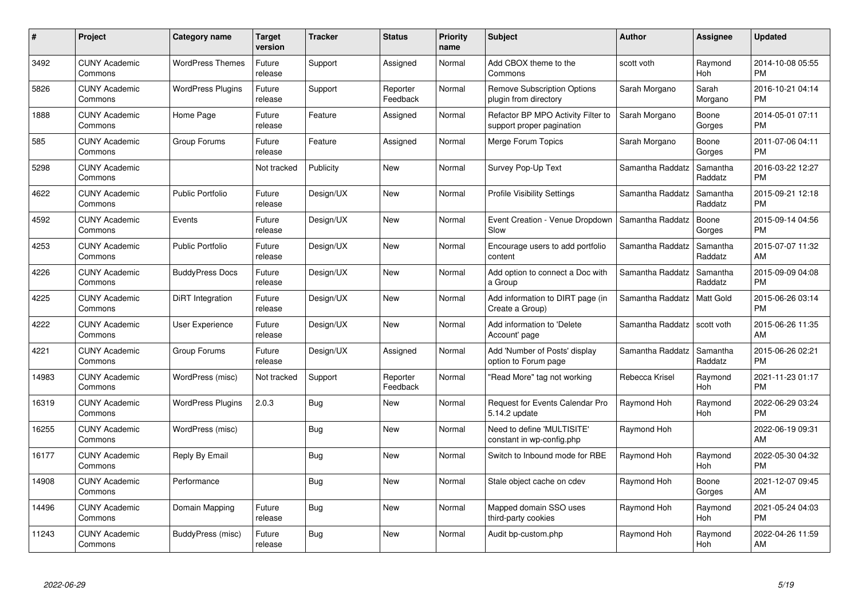| #     | <b>Project</b>                  | Category name            | Target<br>version | <b>Tracker</b> | <b>Status</b>        | <b>Priority</b><br>name | <b>Subject</b>                                                  | <b>Author</b>    | Assignee            | <b>Updated</b>                |
|-------|---------------------------------|--------------------------|-------------------|----------------|----------------------|-------------------------|-----------------------------------------------------------------|------------------|---------------------|-------------------------------|
| 3492  | <b>CUNY Academic</b><br>Commons | <b>WordPress Themes</b>  | Future<br>release | Support        | Assigned             | Normal                  | Add CBOX theme to the<br>Commons                                | scott voth       | Raymond<br>Hoh      | 2014-10-08 05:55<br><b>PM</b> |
| 5826  | <b>CUNY Academic</b><br>Commons | <b>WordPress Plugins</b> | Future<br>release | Support        | Reporter<br>Feedback | Normal                  | <b>Remove Subscription Options</b><br>plugin from directory     | Sarah Morgano    | Sarah<br>Morgano    | 2016-10-21 04:14<br>PM.       |
| 1888  | <b>CUNY Academic</b><br>Commons | Home Page                | Future<br>release | Feature        | Assigned             | Normal                  | Refactor BP MPO Activity Filter to<br>support proper pagination | Sarah Morgano    | Boone<br>Gorges     | 2014-05-01 07:11<br><b>PM</b> |
| 585   | <b>CUNY Academic</b><br>Commons | Group Forums             | Future<br>release | Feature        | Assigned             | Normal                  | Merge Forum Topics                                              | Sarah Morgano    | Boone<br>Gorges     | 2011-07-06 04:11<br><b>PM</b> |
| 5298  | <b>CUNY Academic</b><br>Commons |                          | Not tracked       | Publicity      | <b>New</b>           | Normal                  | Survey Pop-Up Text                                              | Samantha Raddatz | Samantha<br>Raddatz | 2016-03-22 12:27<br><b>PM</b> |
| 4622  | <b>CUNY Academic</b><br>Commons | <b>Public Portfolio</b>  | Future<br>release | Design/UX      | <b>New</b>           | Normal                  | <b>Profile Visibility Settings</b>                              | Samantha Raddatz | Samantha<br>Raddatz | 2015-09-21 12:18<br><b>PM</b> |
| 4592  | <b>CUNY Academic</b><br>Commons | Events                   | Future<br>release | Design/UX      | <b>New</b>           | Normal                  | Event Creation - Venue Dropdown<br>Slow                         | Samantha Raddatz | Boone<br>Gorges     | 2015-09-14 04:56<br><b>PM</b> |
| 4253  | <b>CUNY Academic</b><br>Commons | <b>Public Portfolio</b>  | Future<br>release | Design/UX      | <b>New</b>           | Normal                  | Encourage users to add portfolio<br>content                     | Samantha Raddatz | Samantha<br>Raddatz | 2015-07-07 11:32<br>AM        |
| 4226  | <b>CUNY Academic</b><br>Commons | <b>BuddyPress Docs</b>   | Future<br>release | Design/UX      | <b>New</b>           | Normal                  | Add option to connect a Doc with<br>a Group                     | Samantha Raddatz | Samantha<br>Raddatz | 2015-09-09 04:08<br><b>PM</b> |
| 4225  | <b>CUNY Academic</b><br>Commons | <b>DiRT</b> Integration  | Future<br>release | Design/UX      | <b>New</b>           | Normal                  | Add information to DIRT page (in<br>Create a Group)             | Samantha Raddatz | Matt Gold           | 2015-06-26 03:14<br><b>PM</b> |
| 4222  | <b>CUNY Academic</b><br>Commons | User Experience          | Future<br>release | Design/UX      | New                  | Normal                  | Add information to 'Delete<br>Account' page                     | Samantha Raddatz | scott voth          | 2015-06-26 11:35<br>AM        |
| 4221  | <b>CUNY Academic</b><br>Commons | Group Forums             | Future<br>release | Design/UX      | Assigned             | Normal                  | Add 'Number of Posts' display<br>option to Forum page           | Samantha Raddatz | Samantha<br>Raddatz | 2015-06-26 02:21<br><b>PM</b> |
| 14983 | <b>CUNY Academic</b><br>Commons | WordPress (misc)         | Not tracked       | Support        | Reporter<br>Feedback | Normal                  | "Read More" tag not working                                     | Rebecca Krisel   | Raymond<br>Hoh      | 2021-11-23 01:17<br><b>PM</b> |
| 16319 | <b>CUNY Academic</b><br>Commons | <b>WordPress Plugins</b> | 2.0.3             | <b>Bug</b>     | New                  | Normal                  | Request for Events Calendar Pro<br>5.14.2 update                | Raymond Hoh      | Raymond<br>Hoh      | 2022-06-29 03:24<br><b>PM</b> |
| 16255 | <b>CUNY Academic</b><br>Commons | WordPress (misc)         |                   | Bug            | New                  | Normal                  | Need to define 'MULTISITE'<br>constant in wp-config.php         | Raymond Hoh      |                     | 2022-06-19 09:31<br>AM        |
| 16177 | <b>CUNY Academic</b><br>Commons | Reply By Email           |                   | Bug            | New                  | Normal                  | Switch to Inbound mode for RBE                                  | Raymond Hoh      | Raymond<br>Hoh      | 2022-05-30 04:32<br><b>PM</b> |
| 14908 | <b>CUNY Academic</b><br>Commons | Performance              |                   | Bug            | New                  | Normal                  | Stale object cache on cdev                                      | Raymond Hoh      | Boone<br>Gorges     | 2021-12-07 09:45<br>AM.       |
| 14496 | <b>CUNY Academic</b><br>Commons | Domain Mapping           | Future<br>release | <b>Bug</b>     | <b>New</b>           | Normal                  | Mapped domain SSO uses<br>third-party cookies                   | Raymond Hoh      | Raymond<br>Hoh      | 2021-05-24 04:03<br><b>PM</b> |
| 11243 | <b>CUNY Academic</b><br>Commons | BuddyPress (misc)        | Future<br>release | Bug            | <b>New</b>           | Normal                  | Audit bp-custom.php                                             | Raymond Hoh      | Raymond<br>Hoh      | 2022-04-26 11:59<br>AM        |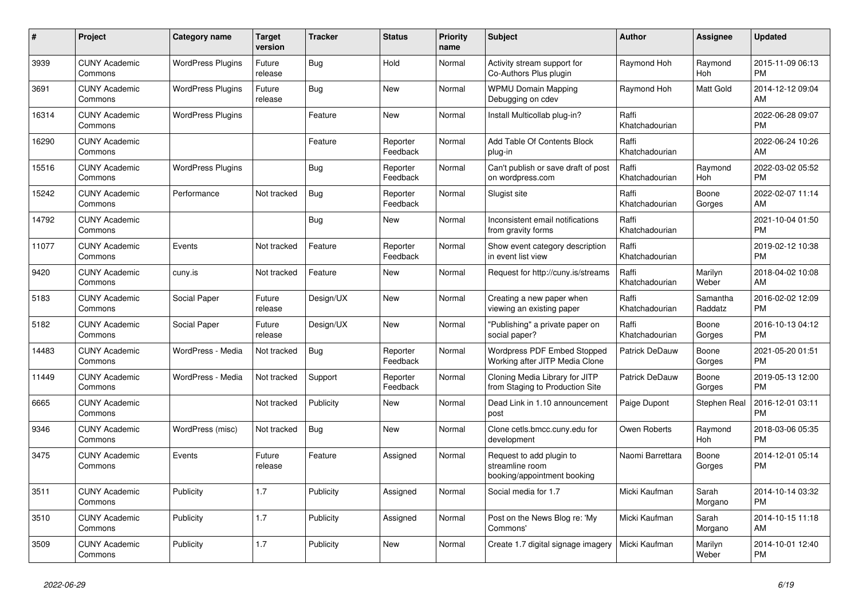| #     | Project                         | <b>Category name</b>     | <b>Target</b><br>version | <b>Tracker</b> | <b>Status</b>        | <b>Priority</b><br>name | <b>Subject</b>                                                             | <b>Author</b>           | Assignee            | <b>Updated</b>                |
|-------|---------------------------------|--------------------------|--------------------------|----------------|----------------------|-------------------------|----------------------------------------------------------------------------|-------------------------|---------------------|-------------------------------|
| 3939  | <b>CUNY Academic</b><br>Commons | <b>WordPress Plugins</b> | Future<br>release        | Bug            | Hold                 | Normal                  | Activity stream support for<br>Co-Authors Plus plugin                      | Raymond Hoh             | Raymond<br>Hoh      | 2015-11-09 06:13<br><b>PM</b> |
| 3691  | <b>CUNY Academic</b><br>Commons | <b>WordPress Plugins</b> | Future<br>release        | Bug            | New                  | Normal                  | <b>WPMU Domain Mapping</b><br>Debugging on cdev                            | Raymond Hoh             | Matt Gold           | 2014-12-12 09:04<br>AM        |
| 16314 | <b>CUNY Academic</b><br>Commons | <b>WordPress Plugins</b> |                          | Feature        | New                  | Normal                  | Install Multicollab plug-in?                                               | Raffi<br>Khatchadourian |                     | 2022-06-28 09:07<br><b>PM</b> |
| 16290 | <b>CUNY Academic</b><br>Commons |                          |                          | Feature        | Reporter<br>Feedback | Normal                  | Add Table Of Contents Block<br>plug-in                                     | Raffi<br>Khatchadourian |                     | 2022-06-24 10:26<br>AM        |
| 15516 | <b>CUNY Academic</b><br>Commons | <b>WordPress Plugins</b> |                          | Bug            | Reporter<br>Feedback | Normal                  | Can't publish or save draft of post<br>on wordpress.com                    | Raffi<br>Khatchadourian | Raymond<br>Hoh      | 2022-03-02 05:52<br><b>PM</b> |
| 15242 | <b>CUNY Academic</b><br>Commons | Performance              | Not tracked              | <b>Bug</b>     | Reporter<br>Feedback | Normal                  | Slugist site                                                               | Raffi<br>Khatchadourian | Boone<br>Gorges     | 2022-02-07 11:14<br>AM        |
| 14792 | <b>CUNY Academic</b><br>Commons |                          |                          | <b>Bug</b>     | <b>New</b>           | Normal                  | Inconsistent email notifications<br>from gravity forms                     | Raffi<br>Khatchadourian |                     | 2021-10-04 01:50<br><b>PM</b> |
| 11077 | <b>CUNY Academic</b><br>Commons | Events                   | Not tracked              | Feature        | Reporter<br>Feedback | Normal                  | Show event category description<br>in event list view                      | Raffi<br>Khatchadourian |                     | 2019-02-12 10:38<br><b>PM</b> |
| 9420  | <b>CUNY Academic</b><br>Commons | cuny.is                  | Not tracked              | Feature        | New                  | Normal                  | Request for http://cuny.is/streams                                         | Raffi<br>Khatchadourian | Marilyn<br>Weber    | 2018-04-02 10:08<br>AM        |
| 5183  | <b>CUNY Academic</b><br>Commons | Social Paper             | Future<br>release        | Design/UX      | <b>New</b>           | Normal                  | Creating a new paper when<br>viewing an existing paper                     | Raffi<br>Khatchadourian | Samantha<br>Raddatz | 2016-02-02 12:09<br><b>PM</b> |
| 5182  | <b>CUNY Academic</b><br>Commons | Social Paper             | Future<br>release        | Design/UX      | New                  | Normal                  | "Publishing" a private paper on<br>social paper?                           | Raffi<br>Khatchadourian | Boone<br>Gorges     | 2016-10-13 04:12<br><b>PM</b> |
| 14483 | <b>CUNY Academic</b><br>Commons | WordPress - Media        | Not tracked              | Bug            | Reporter<br>Feedback | Normal                  | Wordpress PDF Embed Stopped<br>Working after JITP Media Clone              | Patrick DeDauw          | Boone<br>Gorges     | 2021-05-20 01:51<br><b>PM</b> |
| 11449 | <b>CUNY Academic</b><br>Commons | WordPress - Media        | Not tracked              | Support        | Reporter<br>Feedback | Normal                  | Cloning Media Library for JITP<br>from Staging to Production Site          | <b>Patrick DeDauw</b>   | Boone<br>Gorges     | 2019-05-13 12:00<br><b>PM</b> |
| 6665  | <b>CUNY Academic</b><br>Commons |                          | Not tracked              | Publicity      | <b>New</b>           | Normal                  | Dead Link in 1.10 announcement<br>post                                     | Paige Dupont            | Stephen Real        | 2016-12-01 03:11<br><b>PM</b> |
| 9346  | <b>CUNY Academic</b><br>Commons | WordPress (misc)         | Not tracked              | Bug            | New                  | Normal                  | Clone cetls.bmcc.cuny.edu for<br>development                               | Owen Roberts            | Raymond<br>Hoh      | 2018-03-06 05:35<br><b>PM</b> |
| 3475  | <b>CUNY Academic</b><br>Commons | Events                   | Future<br>release        | Feature        | Assigned             | Normal                  | Request to add plugin to<br>streamline room<br>booking/appointment booking | Naomi Barrettara        | Boone<br>Gorges     | 2014-12-01 05:14<br><b>PM</b> |
| 3511  | <b>CUNY Academic</b><br>Commons | Publicity                | 1.7                      | Publicity      | Assigned             | Normal                  | Social media for 1.7                                                       | Micki Kaufman           | Sarah<br>Morgano    | 2014-10-14 03:32<br><b>PM</b> |
| 3510  | <b>CUNY Academic</b><br>Commons | Publicity                | 1.7                      | Publicity      | Assigned             | Normal                  | Post on the News Blog re: 'My<br>Commons'                                  | Micki Kaufman           | Sarah<br>Morgano    | 2014-10-15 11:18<br>AM        |
| 3509  | <b>CUNY Academic</b><br>Commons | Publicity                | 1.7                      | Publicity      | <b>New</b>           | Normal                  | Create 1.7 digital signage imagery                                         | Micki Kaufman           | Marilyn<br>Weber    | 2014-10-01 12:40<br><b>PM</b> |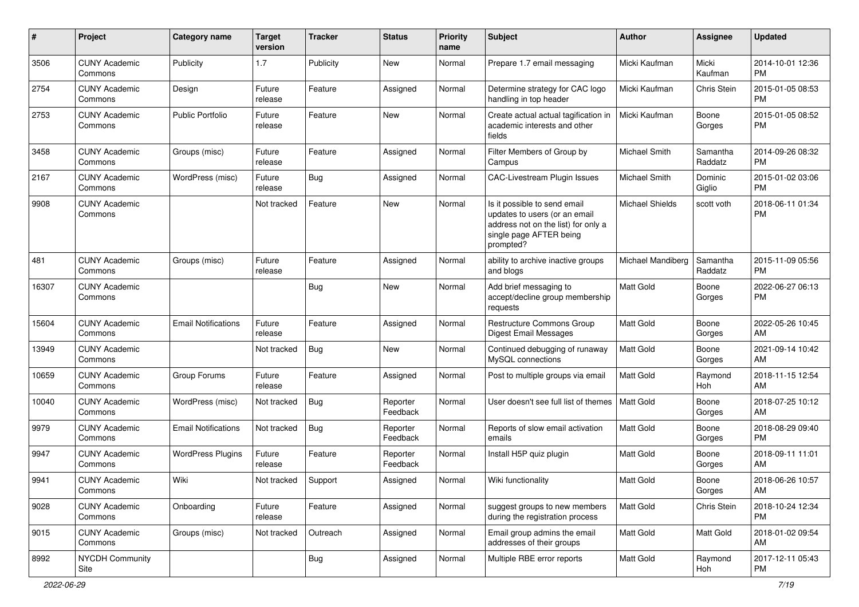| #     | Project                         | <b>Category name</b>       | <b>Target</b><br>version | <b>Tracker</b> | <b>Status</b>        | <b>Priority</b><br>name | <b>Subject</b>                                                                                                                               | Author                 | Assignee            | <b>Updated</b>                |
|-------|---------------------------------|----------------------------|--------------------------|----------------|----------------------|-------------------------|----------------------------------------------------------------------------------------------------------------------------------------------|------------------------|---------------------|-------------------------------|
| 3506  | <b>CUNY Academic</b><br>Commons | Publicity                  | 1.7                      | Publicity      | <b>New</b>           | Normal                  | Prepare 1.7 email messaging                                                                                                                  | Micki Kaufman          | Micki<br>Kaufman    | 2014-10-01 12:36<br><b>PM</b> |
| 2754  | <b>CUNY Academic</b><br>Commons | Design                     | Future<br>release        | Feature        | Assigned             | Normal                  | Determine strategy for CAC logo<br>handling in top header                                                                                    | Micki Kaufman          | Chris Stein         | 2015-01-05 08:53<br><b>PM</b> |
| 2753  | <b>CUNY Academic</b><br>Commons | <b>Public Portfolio</b>    | Future<br>release        | Feature        | New                  | Normal                  | Create actual actual tagification in<br>academic interests and other<br>fields                                                               | Micki Kaufman          | Boone<br>Gorges     | 2015-01-05 08:52<br><b>PM</b> |
| 3458  | <b>CUNY Academic</b><br>Commons | Groups (misc)              | Future<br>release        | Feature        | Assigned             | Normal                  | Filter Members of Group by<br>Campus                                                                                                         | Michael Smith          | Samantha<br>Raddatz | 2014-09-26 08:32<br><b>PM</b> |
| 2167  | <b>CUNY Academic</b><br>Commons | WordPress (misc)           | Future<br>release        | Bug            | Assigned             | Normal                  | <b>CAC-Livestream Plugin Issues</b>                                                                                                          | Michael Smith          | Dominic<br>Giglio   | 2015-01-02 03:06<br><b>PM</b> |
| 9908  | <b>CUNY Academic</b><br>Commons |                            | Not tracked              | Feature        | New                  | Normal                  | Is it possible to send email<br>updates to users (or an email<br>address not on the list) for only a<br>single page AFTER being<br>prompted? | <b>Michael Shields</b> | scott voth          | 2018-06-11 01:34<br><b>PM</b> |
| 481   | <b>CUNY Academic</b><br>Commons | Groups (misc)              | Future<br>release        | Feature        | Assigned             | Normal                  | ability to archive inactive groups<br>and blogs                                                                                              | Michael Mandiberg      | Samantha<br>Raddatz | 2015-11-09 05:56<br><b>PM</b> |
| 16307 | <b>CUNY Academic</b><br>Commons |                            |                          | Bug            | <b>New</b>           | Normal                  | Add brief messaging to<br>accept/decline group membership<br>requests                                                                        | <b>Matt Gold</b>       | Boone<br>Gorges     | 2022-06-27 06:13<br><b>PM</b> |
| 15604 | <b>CUNY Academic</b><br>Commons | <b>Email Notifications</b> | Future<br>release        | Feature        | Assigned             | Normal                  | Restructure Commons Group<br>Digest Email Messages                                                                                           | <b>Matt Gold</b>       | Boone<br>Gorges     | 2022-05-26 10:45<br>AM        |
| 13949 | <b>CUNY Academic</b><br>Commons |                            | Not tracked              | Bug            | <b>New</b>           | Normal                  | Continued debugging of runaway<br>MySQL connections                                                                                          | Matt Gold              | Boone<br>Gorges     | 2021-09-14 10:42<br>AM        |
| 10659 | <b>CUNY Academic</b><br>Commons | Group Forums               | Future<br>release        | Feature        | Assigned             | Normal                  | Post to multiple groups via email                                                                                                            | <b>Matt Gold</b>       | Raymond<br>Hoh      | 2018-11-15 12:54<br>AM        |
| 10040 | <b>CUNY Academic</b><br>Commons | WordPress (misc)           | Not tracked              | Bug            | Reporter<br>Feedback | Normal                  | User doesn't see full list of themes                                                                                                         | Matt Gold              | Boone<br>Gorges     | 2018-07-25 10:12<br>AM        |
| 9979  | <b>CUNY Academic</b><br>Commons | <b>Email Notifications</b> | Not tracked              | Bug            | Reporter<br>Feedback | Normal                  | Reports of slow email activation<br>emails                                                                                                   | <b>Matt Gold</b>       | Boone<br>Gorges     | 2018-08-29 09:40<br><b>PM</b> |
| 9947  | <b>CUNY Academic</b><br>Commons | <b>WordPress Plugins</b>   | Future<br>release        | Feature        | Reporter<br>Feedback | Normal                  | Install H5P quiz plugin                                                                                                                      | <b>Matt Gold</b>       | Boone<br>Gorges     | 2018-09-11 11:01<br>AM        |
| 9941  | <b>CUNY Academic</b><br>Commons | Wiki                       | Not tracked              | Support        | Assigned             | Normal                  | Wiki functionality                                                                                                                           | <b>Matt Gold</b>       | Boone<br>Gorges     | 2018-06-26 10:57<br>AM        |
| 9028  | <b>CUNY Academic</b><br>Commons | Onboarding                 | Future<br>release        | Feature        | Assigned             | Normal                  | suggest groups to new members<br>during the registration process                                                                             | Matt Gold              | Chris Stein         | 2018-10-24 12:34<br>PM        |
| 9015  | <b>CUNY Academic</b><br>Commons | Groups (misc)              | Not tracked              | Outreach       | Assigned             | Normal                  | Email group admins the email<br>addresses of their groups                                                                                    | Matt Gold              | Matt Gold           | 2018-01-02 09:54<br>AM        |
| 8992  | <b>NYCDH Community</b><br>Site  |                            |                          | <b>Bug</b>     | Assigned             | Normal                  | Multiple RBE error reports                                                                                                                   | Matt Gold              | Raymond<br>Hoh      | 2017-12-11 05:43<br>PM        |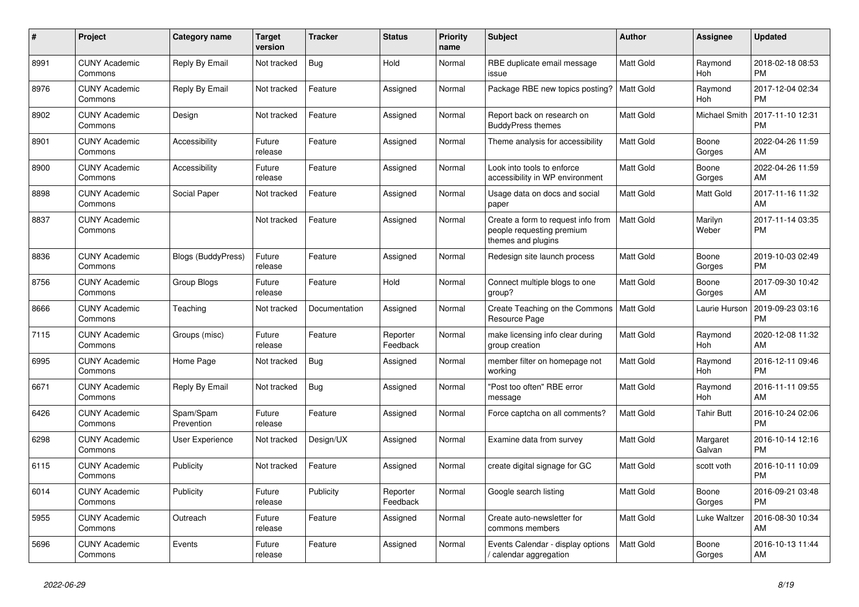| $\#$ | Project                         | <b>Category name</b>      | Target<br>version | <b>Tracker</b> | <b>Status</b>        | <b>Priority</b><br>name | <b>Subject</b>                                                                        | Author           | <b>Assignee</b>      | <b>Updated</b>                |
|------|---------------------------------|---------------------------|-------------------|----------------|----------------------|-------------------------|---------------------------------------------------------------------------------------|------------------|----------------------|-------------------------------|
| 8991 | <b>CUNY Academic</b><br>Commons | Reply By Email            | Not tracked       | <b>Bug</b>     | Hold                 | Normal                  | RBE duplicate email message<br>issue                                                  | <b>Matt Gold</b> | Raymond<br>Hoh       | 2018-02-18 08:53<br><b>PM</b> |
| 8976 | <b>CUNY Academic</b><br>Commons | Reply By Email            | Not tracked       | Feature        | Assigned             | Normal                  | Package RBE new topics posting?                                                       | Matt Gold        | Raymond<br>Hoh       | 2017-12-04 02:34<br><b>PM</b> |
| 8902 | <b>CUNY Academic</b><br>Commons | Design                    | Not tracked       | Feature        | Assigned             | Normal                  | Report back on research on<br><b>BuddyPress themes</b>                                | <b>Matt Gold</b> | <b>Michael Smith</b> | 2017-11-10 12:31<br><b>PM</b> |
| 8901 | <b>CUNY Academic</b><br>Commons | Accessibility             | Future<br>release | Feature        | Assigned             | Normal                  | Theme analysis for accessibility                                                      | <b>Matt Gold</b> | Boone<br>Gorges      | 2022-04-26 11:59<br>AM        |
| 8900 | <b>CUNY Academic</b><br>Commons | Accessibility             | Future<br>release | Feature        | Assigned             | Normal                  | Look into tools to enforce<br>accessibility in WP environment                         | <b>Matt Gold</b> | Boone<br>Gorges      | 2022-04-26 11:59<br>AM        |
| 8898 | <b>CUNY Academic</b><br>Commons | Social Paper              | Not tracked       | Feature        | Assigned             | Normal                  | Usage data on docs and social<br>paper                                                | <b>Matt Gold</b> | Matt Gold            | 2017-11-16 11:32<br>AM        |
| 8837 | <b>CUNY Academic</b><br>Commons |                           | Not tracked       | Feature        | Assigned             | Normal                  | Create a form to request info from<br>people requesting premium<br>themes and plugins | <b>Matt Gold</b> | Marilyn<br>Weber     | 2017-11-14 03:35<br><b>PM</b> |
| 8836 | <b>CUNY Academic</b><br>Commons | <b>Blogs (BuddyPress)</b> | Future<br>release | Feature        | Assigned             | Normal                  | Redesign site launch process                                                          | <b>Matt Gold</b> | Boone<br>Gorges      | 2019-10-03 02:49<br><b>PM</b> |
| 8756 | <b>CUNY Academic</b><br>Commons | Group Blogs               | Future<br>release | Feature        | Hold                 | Normal                  | Connect multiple blogs to one<br>group?                                               | <b>Matt Gold</b> | Boone<br>Gorges      | 2017-09-30 10:42<br>AM        |
| 8666 | <b>CUNY Academic</b><br>Commons | Teaching                  | Not tracked       | Documentation  | Assigned             | Normal                  | Create Teaching on the Commons<br>Resource Page                                       | Matt Gold        | Laurie Hurson        | 2019-09-23 03:16<br><b>PM</b> |
| 7115 | <b>CUNY Academic</b><br>Commons | Groups (misc)             | Future<br>release | Feature        | Reporter<br>Feedback | Normal                  | make licensing info clear during<br>group creation                                    | <b>Matt Gold</b> | Raymond<br>Hoh       | 2020-12-08 11:32<br>AM        |
| 6995 | <b>CUNY Academic</b><br>Commons | Home Page                 | Not tracked       | <b>Bug</b>     | Assigned             | Normal                  | member filter on homepage not<br>working                                              | <b>Matt Gold</b> | Raymond<br>Hoh       | 2016-12-11 09:46<br><b>PM</b> |
| 6671 | <b>CUNY Academic</b><br>Commons | Reply By Email            | Not tracked       | <b>Bug</b>     | Assigned             | Normal                  | "Post too often" RBE error<br>message                                                 | <b>Matt Gold</b> | Raymond<br>Hoh       | 2016-11-11 09:55<br>AM        |
| 6426 | <b>CUNY Academic</b><br>Commons | Spam/Spam<br>Prevention   | Future<br>release | Feature        | Assigned             | Normal                  | Force captcha on all comments?                                                        | Matt Gold        | <b>Tahir Butt</b>    | 2016-10-24 02:06<br><b>PM</b> |
| 6298 | <b>CUNY Academic</b><br>Commons | User Experience           | Not tracked       | Design/UX      | Assigned             | Normal                  | Examine data from survey                                                              | <b>Matt Gold</b> | Margaret<br>Galvan   | 2016-10-14 12:16<br><b>PM</b> |
| 6115 | <b>CUNY Academic</b><br>Commons | Publicity                 | Not tracked       | Feature        | Assigned             | Normal                  | create digital signage for GC                                                         | <b>Matt Gold</b> | scott voth           | 2016-10-11 10:09<br><b>PM</b> |
| 6014 | <b>CUNY Academic</b><br>Commons | Publicity                 | Future<br>release | Publicity      | Reporter<br>Feedback | Normal                  | Google search listing                                                                 | <b>Matt Gold</b> | Boone<br>Gorges      | 2016-09-21 03:48<br><b>PM</b> |
| 5955 | <b>CUNY Academic</b><br>Commons | Outreach                  | Future<br>release | Feature        | Assigned             | Normal                  | Create auto-newsletter for<br>commons members                                         | Matt Gold        | Luke Waltzer         | 2016-08-30 10:34<br>AM        |
| 5696 | <b>CUNY Academic</b><br>Commons | Events                    | Future<br>release | Feature        | Assigned             | Normal                  | Events Calendar - display options<br>/ calendar aggregation                           | <b>Matt Gold</b> | Boone<br>Gorges      | 2016-10-13 11:44<br>AM        |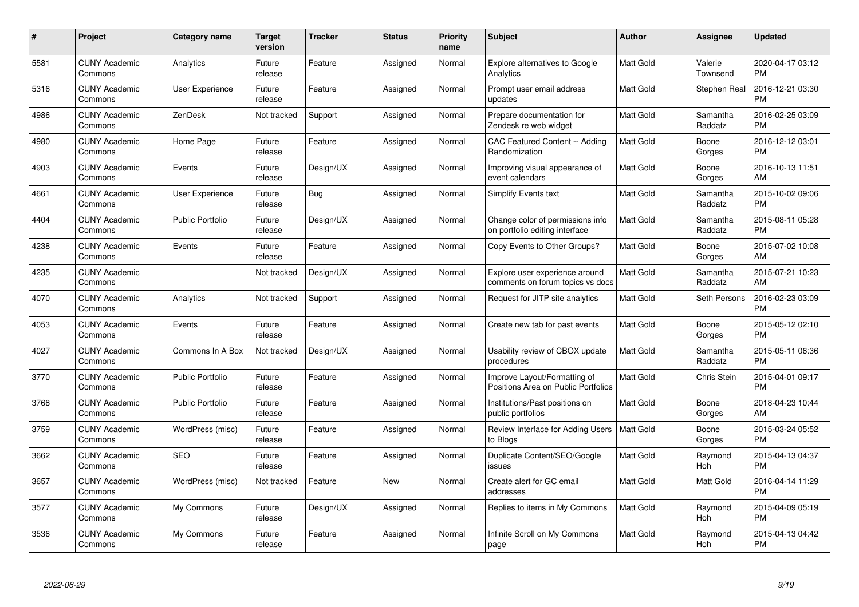| #    | Project                         | <b>Category name</b>    | <b>Target</b><br>version | <b>Tracker</b> | <b>Status</b> | <b>Priority</b><br>name | <b>Subject</b>                                                      | <b>Author</b>    | <b>Assignee</b>     | <b>Updated</b>                |
|------|---------------------------------|-------------------------|--------------------------|----------------|---------------|-------------------------|---------------------------------------------------------------------|------------------|---------------------|-------------------------------|
| 5581 | <b>CUNY Academic</b><br>Commons | Analytics               | Future<br>release        | Feature        | Assigned      | Normal                  | <b>Explore alternatives to Google</b><br>Analytics                  | <b>Matt Gold</b> | Valerie<br>Townsend | 2020-04-17 03:12<br><b>PM</b> |
| 5316 | <b>CUNY Academic</b><br>Commons | <b>User Experience</b>  | Future<br>release        | Feature        | Assigned      | Normal                  | Prompt user email address<br>updates                                | <b>Matt Gold</b> | Stephen Real        | 2016-12-21 03:30<br><b>PM</b> |
| 4986 | <b>CUNY Academic</b><br>Commons | ZenDesk                 | Not tracked              | Support        | Assigned      | Normal                  | Prepare documentation for<br>Zendesk re web widget                  | <b>Matt Gold</b> | Samantha<br>Raddatz | 2016-02-25 03:09<br><b>PM</b> |
| 4980 | <b>CUNY Academic</b><br>Commons | Home Page               | Future<br>release        | Feature        | Assigned      | Normal                  | CAC Featured Content -- Adding<br>Randomization                     | <b>Matt Gold</b> | Boone<br>Gorges     | 2016-12-12 03:01<br><b>PM</b> |
| 4903 | <b>CUNY Academic</b><br>Commons | Events                  | Future<br>release        | Design/UX      | Assigned      | Normal                  | Improving visual appearance of<br>event calendars                   | <b>Matt Gold</b> | Boone<br>Gorges     | 2016-10-13 11:51<br>AM        |
| 4661 | <b>CUNY Academic</b><br>Commons | <b>User Experience</b>  | Future<br>release        | Bug            | Assigned      | Normal                  | <b>Simplify Events text</b>                                         | Matt Gold        | Samantha<br>Raddatz | 2015-10-02 09:06<br><b>PM</b> |
| 4404 | <b>CUNY Academic</b><br>Commons | <b>Public Portfolio</b> | Future<br>release        | Design/UX      | Assigned      | Normal                  | Change color of permissions info<br>on portfolio editing interface  | <b>Matt Gold</b> | Samantha<br>Raddatz | 2015-08-11 05:28<br><b>PM</b> |
| 4238 | <b>CUNY Academic</b><br>Commons | Events                  | Future<br>release        | Feature        | Assigned      | Normal                  | Copy Events to Other Groups?                                        | <b>Matt Gold</b> | Boone<br>Gorges     | 2015-07-02 10:08<br>AM        |
| 4235 | <b>CUNY Academic</b><br>Commons |                         | Not tracked              | Design/UX      | Assigned      | Normal                  | Explore user experience around<br>comments on forum topics vs docs  | <b>Matt Gold</b> | Samantha<br>Raddatz | 2015-07-21 10:23<br>AM        |
| 4070 | <b>CUNY Academic</b><br>Commons | Analytics               | Not tracked              | Support        | Assigned      | Normal                  | Request for JITP site analytics                                     | <b>Matt Gold</b> | Seth Persons        | 2016-02-23 03:09<br><b>PM</b> |
| 4053 | <b>CUNY Academic</b><br>Commons | Events                  | Future<br>release        | Feature        | Assigned      | Normal                  | Create new tab for past events                                      | Matt Gold        | Boone<br>Gorges     | 2015-05-12 02:10<br><b>PM</b> |
| 4027 | <b>CUNY Academic</b><br>Commons | Commons In A Box        | Not tracked              | Design/UX      | Assigned      | Normal                  | Usability review of CBOX update<br>procedures                       | <b>Matt Gold</b> | Samantha<br>Raddatz | 2015-05-11 06:36<br><b>PM</b> |
| 3770 | <b>CUNY Academic</b><br>Commons | <b>Public Portfolio</b> | Future<br>release        | Feature        | Assigned      | Normal                  | Improve Layout/Formatting of<br>Positions Area on Public Portfolios | <b>Matt Gold</b> | <b>Chris Stein</b>  | 2015-04-01 09:17<br><b>PM</b> |
| 3768 | <b>CUNY Academic</b><br>Commons | Public Portfolio        | Future<br>release        | Feature        | Assigned      | Normal                  | Institutions/Past positions on<br>public portfolios                 | <b>Matt Gold</b> | Boone<br>Gorges     | 2018-04-23 10:44<br>AM        |
| 3759 | <b>CUNY Academic</b><br>Commons | WordPress (misc)        | Future<br>release        | Feature        | Assigned      | Normal                  | Review Interface for Adding Users<br>to Blogs                       | Matt Gold        | Boone<br>Gorges     | 2015-03-24 05:52<br><b>PM</b> |
| 3662 | <b>CUNY Academic</b><br>Commons | <b>SEO</b>              | Future<br>release        | Feature        | Assigned      | Normal                  | Duplicate Content/SEO/Google<br>issues                              | <b>Matt Gold</b> | Raymond<br>Hoh      | 2015-04-13 04:37<br><b>PM</b> |
| 3657 | <b>CUNY Academic</b><br>Commons | WordPress (misc)        | Not tracked              | Feature        | New           | Normal                  | Create alert for GC email<br>addresses                              | <b>Matt Gold</b> | Matt Gold           | 2016-04-14 11:29<br><b>PM</b> |
| 3577 | <b>CUNY Academic</b><br>Commons | My Commons              | Future<br>release        | Design/UX      | Assigned      | Normal                  | Replies to items in My Commons                                      | Matt Gold        | Raymond<br>Hoh      | 2015-04-09 05:19<br><b>PM</b> |
| 3536 | <b>CUNY Academic</b><br>Commons | My Commons              | Future<br>release        | Feature        | Assigned      | Normal                  | Infinite Scroll on My Commons<br>page                               | <b>Matt Gold</b> | Raymond<br>Hoh      | 2015-04-13 04:42<br><b>PM</b> |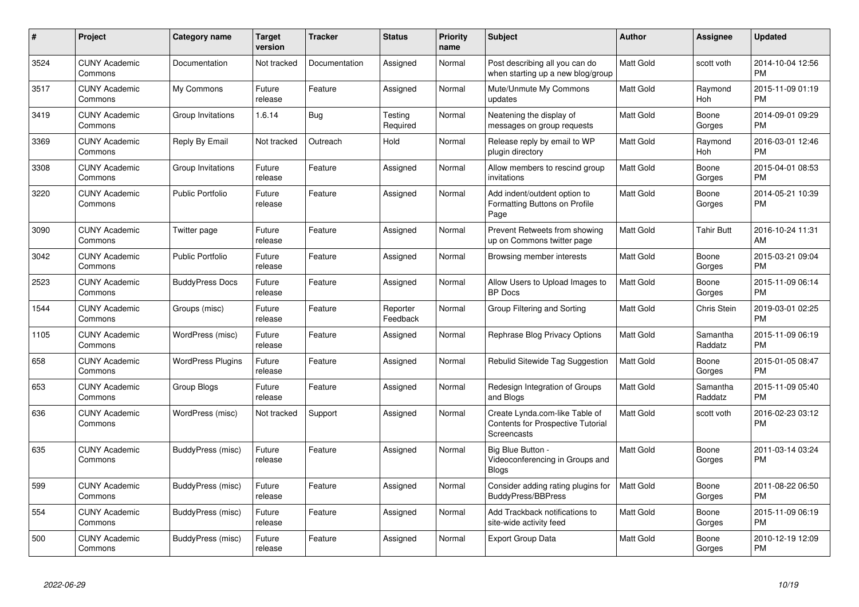| $\pmb{\#}$ | Project                         | <b>Category name</b>     | <b>Target</b><br>version | <b>Tracker</b> | <b>Status</b>        | Priority<br>name | <b>Subject</b>                                                                            | <b>Author</b>    | <b>Assignee</b>     | <b>Updated</b>                |
|------------|---------------------------------|--------------------------|--------------------------|----------------|----------------------|------------------|-------------------------------------------------------------------------------------------|------------------|---------------------|-------------------------------|
| 3524       | <b>CUNY Academic</b><br>Commons | Documentation            | Not tracked              | Documentation  | Assigned             | Normal           | Post describing all you can do<br>when starting up a new blog/group                       | <b>Matt Gold</b> | scott voth          | 2014-10-04 12:56<br><b>PM</b> |
| 3517       | <b>CUNY Academic</b><br>Commons | My Commons               | Future<br>release        | Feature        | Assigned             | Normal           | Mute/Unmute My Commons<br>updates                                                         | <b>Matt Gold</b> | Raymond<br>Hoh      | 2015-11-09 01:19<br><b>PM</b> |
| 3419       | <b>CUNY Academic</b><br>Commons | Group Invitations        | 1.6.14                   | Bug            | Testing<br>Required  | Normal           | Neatening the display of<br>messages on group requests                                    | Matt Gold        | Boone<br>Gorges     | 2014-09-01 09:29<br><b>PM</b> |
| 3369       | <b>CUNY Academic</b><br>Commons | Reply By Email           | Not tracked              | Outreach       | Hold                 | Normal           | Release reply by email to WP<br>plugin directory                                          | Matt Gold        | Raymond<br>Hoh      | 2016-03-01 12:46<br><b>PM</b> |
| 3308       | <b>CUNY Academic</b><br>Commons | Group Invitations        | Future<br>release        | Feature        | Assigned             | Normal           | Allow members to rescind group<br>invitations                                             | <b>Matt Gold</b> | Boone<br>Gorges     | 2015-04-01 08:53<br><b>PM</b> |
| 3220       | <b>CUNY Academic</b><br>Commons | Public Portfolio         | Future<br>release        | Feature        | Assigned             | Normal           | Add indent/outdent option to<br>Formatting Buttons on Profile<br>Page                     | Matt Gold        | Boone<br>Gorges     | 2014-05-21 10:39<br><b>PM</b> |
| 3090       | <b>CUNY Academic</b><br>Commons | Twitter page             | Future<br>release        | Feature        | Assigned             | Normal           | Prevent Retweets from showing<br>up on Commons twitter page                               | <b>Matt Gold</b> | Tahir Butt          | 2016-10-24 11:31<br>AM        |
| 3042       | <b>CUNY Academic</b><br>Commons | <b>Public Portfolio</b>  | Future<br>release        | Feature        | Assigned             | Normal           | Browsing member interests                                                                 | Matt Gold        | Boone<br>Gorges     | 2015-03-21 09:04<br><b>PM</b> |
| 2523       | <b>CUNY Academic</b><br>Commons | <b>BuddyPress Docs</b>   | Future<br>release        | Feature        | Assigned             | Normal           | Allow Users to Upload Images to<br><b>BP</b> Docs                                         | <b>Matt Gold</b> | Boone<br>Gorges     | 2015-11-09 06:14<br><b>PM</b> |
| 1544       | <b>CUNY Academic</b><br>Commons | Groups (misc)            | Future<br>release        | Feature        | Reporter<br>Feedback | Normal           | Group Filtering and Sorting                                                               | <b>Matt Gold</b> | Chris Stein         | 2019-03-01 02:25<br><b>PM</b> |
| 1105       | <b>CUNY Academic</b><br>Commons | WordPress (misc)         | Future<br>release        | Feature        | Assigned             | Normal           | Rephrase Blog Privacy Options                                                             | <b>Matt Gold</b> | Samantha<br>Raddatz | 2015-11-09 06:19<br><b>PM</b> |
| 658        | <b>CUNY Academic</b><br>Commons | <b>WordPress Plugins</b> | Future<br>release        | Feature        | Assigned             | Normal           | Rebulid Sitewide Tag Suggestion                                                           | <b>Matt Gold</b> | Boone<br>Gorges     | 2015-01-05 08:47<br><b>PM</b> |
| 653        | <b>CUNY Academic</b><br>Commons | Group Blogs              | Future<br>release        | Feature        | Assigned             | Normal           | Redesign Integration of Groups<br>and Blogs                                               | Matt Gold        | Samantha<br>Raddatz | 2015-11-09 05:40<br><b>PM</b> |
| 636        | <b>CUNY Academic</b><br>Commons | WordPress (misc)         | Not tracked              | Support        | Assigned             | Normal           | Create Lynda.com-like Table of<br><b>Contents for Prospective Tutorial</b><br>Screencasts | <b>Matt Gold</b> | scott voth          | 2016-02-23 03:12<br><b>PM</b> |
| 635        | <b>CUNY Academic</b><br>Commons | BuddyPress (misc)        | Future<br>release        | Feature        | Assigned             | Normal           | Big Blue Button -<br>Videoconferencing in Groups and<br><b>Blogs</b>                      | Matt Gold        | Boone<br>Gorges     | 2011-03-14 03:24<br><b>PM</b> |
| 599        | <b>CUNY Academic</b><br>Commons | BuddyPress (misc)        | Future<br>release        | Feature        | Assigned             | Normal           | Consider adding rating plugins for<br><b>BuddyPress/BBPress</b>                           | <b>Matt Gold</b> | Boone<br>Gorges     | 2011-08-22 06:50<br><b>PM</b> |
| 554        | <b>CUNY Academic</b><br>Commons | BuddyPress (misc)        | Future<br>release        | Feature        | Assigned             | Normal           | Add Trackback notifications to<br>site-wide activity feed                                 | Matt Gold        | Boone<br>Gorges     | 2015-11-09 06:19<br><b>PM</b> |
| 500        | <b>CUNY Academic</b><br>Commons | BuddyPress (misc)        | Future<br>release        | Feature        | Assigned             | Normal           | <b>Export Group Data</b>                                                                  | <b>Matt Gold</b> | Boone<br>Gorges     | 2010-12-19 12:09<br><b>PM</b> |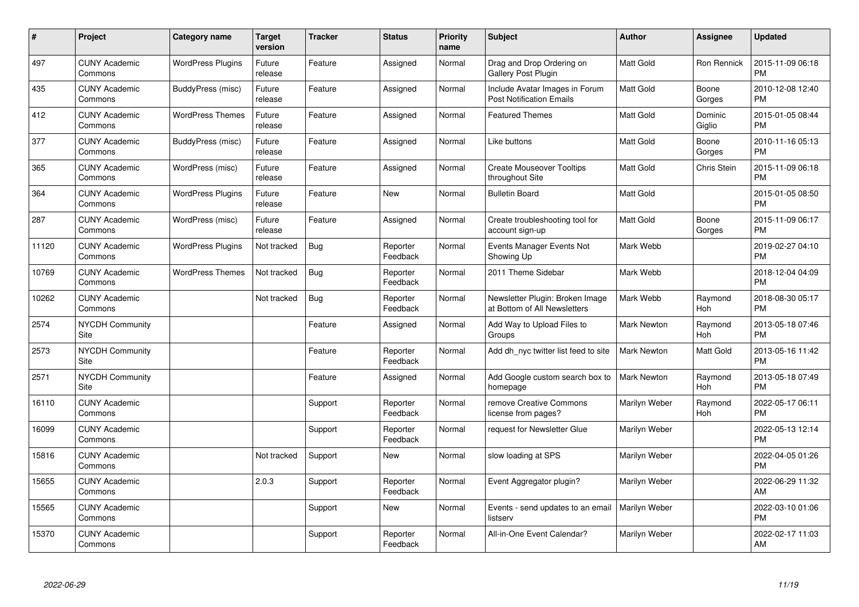| $\pmb{\#}$ | Project                         | <b>Category name</b>     | <b>Target</b><br>version | <b>Tracker</b> | <b>Status</b>        | <b>Priority</b><br>name | <b>Subject</b>                                                    | <b>Author</b>      | <b>Assignee</b>    | <b>Updated</b>                |
|------------|---------------------------------|--------------------------|--------------------------|----------------|----------------------|-------------------------|-------------------------------------------------------------------|--------------------|--------------------|-------------------------------|
| 497        | <b>CUNY Academic</b><br>Commons | <b>WordPress Plugins</b> | Future<br>release        | Feature        | Assigned             | Normal                  | Drag and Drop Ordering on<br>Gallery Post Plugin                  | <b>Matt Gold</b>   | <b>Ron Rennick</b> | 2015-11-09 06:18<br><b>PM</b> |
| 435        | <b>CUNY Academic</b><br>Commons | BuddyPress (misc)        | Future<br>release        | Feature        | Assigned             | Normal                  | Include Avatar Images in Forum<br><b>Post Notification Emails</b> | <b>Matt Gold</b>   | Boone<br>Gorges    | 2010-12-08 12:40<br><b>PM</b> |
| 412        | <b>CUNY Academic</b><br>Commons | <b>WordPress Themes</b>  | Future<br>release        | Feature        | Assigned             | Normal                  | <b>Featured Themes</b>                                            | Matt Gold          | Dominic<br>Giglio  | 2015-01-05 08:44<br><b>PM</b> |
| 377        | <b>CUNY Academic</b><br>Commons | BuddyPress (misc)        | Future<br>release        | Feature        | Assigned             | Normal                  | Like buttons                                                      | Matt Gold          | Boone<br>Gorges    | 2010-11-16 05:13<br><b>PM</b> |
| 365        | <b>CUNY Academic</b><br>Commons | WordPress (misc)         | Future<br>release        | Feature        | Assigned             | Normal                  | <b>Create Mouseover Tooltips</b><br>throughout Site               | <b>Matt Gold</b>   | Chris Stein        | 2015-11-09 06:18<br><b>PM</b> |
| 364        | <b>CUNY Academic</b><br>Commons | <b>WordPress Plugins</b> | Future<br>release        | Feature        | <b>New</b>           | Normal                  | <b>Bulletin Board</b>                                             | Matt Gold          |                    | 2015-01-05 08:50<br><b>PM</b> |
| 287        | <b>CUNY Academic</b><br>Commons | WordPress (misc)         | Future<br>release        | Feature        | Assigned             | Normal                  | Create troubleshooting tool for<br>account sign-up                | Matt Gold          | Boone<br>Gorges    | 2015-11-09 06:17<br><b>PM</b> |
| 11120      | <b>CUNY Academic</b><br>Commons | <b>WordPress Plugins</b> | Not tracked              | Bug            | Reporter<br>Feedback | Normal                  | Events Manager Events Not<br>Showing Up                           | Mark Webb          |                    | 2019-02-27 04:10<br><b>PM</b> |
| 10769      | <b>CUNY Academic</b><br>Commons | <b>WordPress Themes</b>  | Not tracked              | Bug            | Reporter<br>Feedback | Normal                  | 2011 Theme Sidebar                                                | Mark Webb          |                    | 2018-12-04 04:09<br><b>PM</b> |
| 10262      | <b>CUNY Academic</b><br>Commons |                          | Not tracked              | Bug            | Reporter<br>Feedback | Normal                  | Newsletter Plugin: Broken Image<br>at Bottom of All Newsletters   | Mark Webb          | Raymond<br>Hoh     | 2018-08-30 05:17<br><b>PM</b> |
| 2574       | <b>NYCDH Community</b><br>Site  |                          |                          | Feature        | Assigned             | Normal                  | Add Way to Upload Files to<br>Groups                              | Mark Newton        | Raymond<br>Hoh     | 2013-05-18 07:46<br><b>PM</b> |
| 2573       | <b>NYCDH Community</b><br>Site  |                          |                          | Feature        | Reporter<br>Feedback | Normal                  | Add dh nyc twitter list feed to site                              | <b>Mark Newton</b> | Matt Gold          | 2013-05-16 11:42<br><b>PM</b> |
| 2571       | <b>NYCDH Community</b><br>Site  |                          |                          | Feature        | Assigned             | Normal                  | Add Google custom search box to<br>homepage                       | Mark Newton        | Raymond<br>Hoh     | 2013-05-18 07:49<br><b>PM</b> |
| 16110      | <b>CUNY Academic</b><br>Commons |                          |                          | Support        | Reporter<br>Feedback | Normal                  | remove Creative Commons<br>license from pages?                    | Marilyn Weber      | Raymond<br>Hoh     | 2022-05-17 06:11<br><b>PM</b> |
| 16099      | <b>CUNY Academic</b><br>Commons |                          |                          | Support        | Reporter<br>Feedback | Normal                  | request for Newsletter Glue                                       | Marilyn Weber      |                    | 2022-05-13 12:14<br><b>PM</b> |
| 15816      | <b>CUNY Academic</b><br>Commons |                          | Not tracked              | Support        | New                  | Normal                  | slow loading at SPS                                               | Marilyn Weber      |                    | 2022-04-05 01:26<br><b>PM</b> |
| 15655      | <b>CUNY Academic</b><br>Commons |                          | 2.0.3                    | Support        | Reporter<br>Feedback | Normal                  | Event Aggregator plugin?                                          | Marilyn Weber      |                    | 2022-06-29 11:32<br>AM        |
| 15565      | <b>CUNY Academic</b><br>Commons |                          |                          | Support        | New                  | Normal                  | Events - send updates to an email<br>listserv                     | Marilyn Weber      |                    | 2022-03-10 01:06<br><b>PM</b> |
| 15370      | <b>CUNY Academic</b><br>Commons |                          |                          | Support        | Reporter<br>Feedback | Normal                  | All-in-One Event Calendar?                                        | Marilyn Weber      |                    | 2022-02-17 11:03<br>AM        |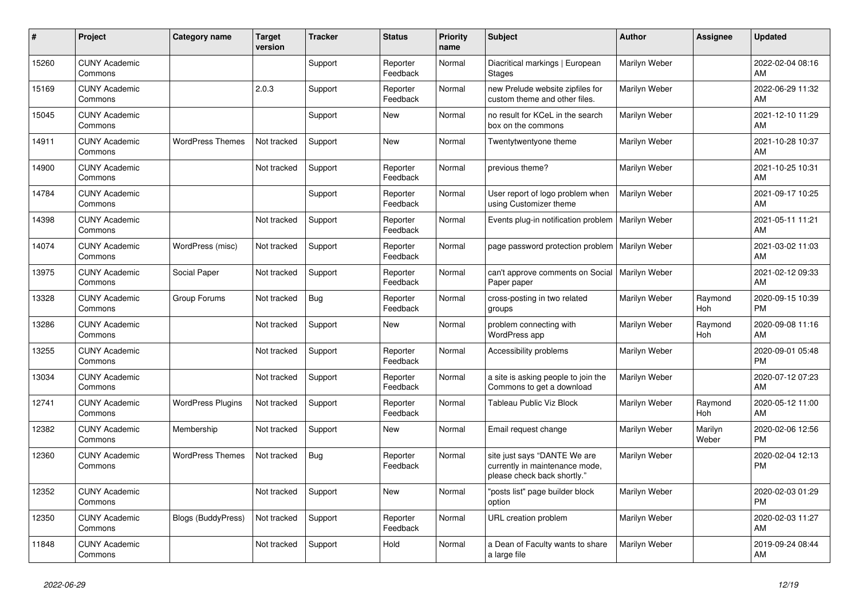| #     | Project                         | <b>Category name</b>     | <b>Target</b><br>version | <b>Tracker</b> | <b>Status</b>        | <b>Priority</b><br>name | <b>Subject</b>                                                                                | <b>Author</b> | <b>Assignee</b>  | <b>Updated</b>                |
|-------|---------------------------------|--------------------------|--------------------------|----------------|----------------------|-------------------------|-----------------------------------------------------------------------------------------------|---------------|------------------|-------------------------------|
| 15260 | <b>CUNY Academic</b><br>Commons |                          |                          | Support        | Reporter<br>Feedback | Normal                  | Diacritical markings   European<br><b>Stages</b>                                              | Marilyn Weber |                  | 2022-02-04 08:16<br><b>AM</b> |
| 15169 | <b>CUNY Academic</b><br>Commons |                          | 2.0.3                    | Support        | Reporter<br>Feedback | Normal                  | new Prelude website zipfiles for<br>custom theme and other files.                             | Marilyn Weber |                  | 2022-06-29 11:32<br>AM        |
| 15045 | <b>CUNY Academic</b><br>Commons |                          |                          | Support        | <b>New</b>           | Normal                  | no result for KCeL in the search<br>box on the commons                                        | Marilyn Weber |                  | 2021-12-10 11:29<br>AM        |
| 14911 | <b>CUNY Academic</b><br>Commons | <b>WordPress Themes</b>  | Not tracked              | Support        | New                  | Normal                  | Twentytwentyone theme                                                                         | Marilyn Weber |                  | 2021-10-28 10:37<br><b>AM</b> |
| 14900 | <b>CUNY Academic</b><br>Commons |                          | Not tracked              | Support        | Reporter<br>Feedback | Normal                  | previous theme?                                                                               | Marilyn Weber |                  | 2021-10-25 10:31<br><b>AM</b> |
| 14784 | <b>CUNY Academic</b><br>Commons |                          |                          | Support        | Reporter<br>Feedback | Normal                  | User report of logo problem when<br>using Customizer theme                                    | Marilyn Weber |                  | 2021-09-17 10:25<br>AM        |
| 14398 | <b>CUNY Academic</b><br>Commons |                          | Not tracked              | Support        | Reporter<br>Feedback | Normal                  | Events plug-in notification problem                                                           | Marilyn Weber |                  | 2021-05-11 11:21<br>AM        |
| 14074 | <b>CUNY Academic</b><br>Commons | WordPress (misc)         | Not tracked              | Support        | Reporter<br>Feedback | Normal                  | page password protection problem                                                              | Marilyn Weber |                  | 2021-03-02 11:03<br>AM        |
| 13975 | <b>CUNY Academic</b><br>Commons | Social Paper             | Not tracked              | Support        | Reporter<br>Feedback | Normal                  | can't approve comments on Social<br>Paper paper                                               | Marilyn Weber |                  | 2021-02-12 09:33<br>AM        |
| 13328 | <b>CUNY Academic</b><br>Commons | Group Forums             | Not tracked              | Bug            | Reporter<br>Feedback | Normal                  | cross-posting in two related<br>groups                                                        | Marilyn Weber | Raymond<br>Hoh   | 2020-09-15 10:39<br><b>PM</b> |
| 13286 | <b>CUNY Academic</b><br>Commons |                          | Not tracked              | Support        | New                  | Normal                  | problem connecting with<br>WordPress app                                                      | Marilyn Weber | Raymond<br>Hoh   | 2020-09-08 11:16<br>AM        |
| 13255 | <b>CUNY Academic</b><br>Commons |                          | Not tracked              | Support        | Reporter<br>Feedback | Normal                  | Accessibility problems                                                                        | Marilyn Weber |                  | 2020-09-01 05:48<br><b>PM</b> |
| 13034 | <b>CUNY Academic</b><br>Commons |                          | Not tracked              | Support        | Reporter<br>Feedback | Normal                  | a site is asking people to join the<br>Commons to get a download                              | Marilyn Weber |                  | 2020-07-12 07:23<br>AM        |
| 12741 | <b>CUNY Academic</b><br>Commons | <b>WordPress Plugins</b> | Not tracked              | Support        | Reporter<br>Feedback | Normal                  | Tableau Public Viz Block                                                                      | Marilyn Weber | Raymond<br>Hoh   | 2020-05-12 11:00<br>AM        |
| 12382 | <b>CUNY Academic</b><br>Commons | Membership               | Not tracked              | Support        | New                  | Normal                  | Email request change                                                                          | Marilyn Weber | Marilyn<br>Weber | 2020-02-06 12:56<br><b>PM</b> |
| 12360 | <b>CUNY Academic</b><br>Commons | <b>WordPress Themes</b>  | Not tracked              | <b>Bug</b>     | Reporter<br>Feedback | Normal                  | site just says "DANTE We are<br>currently in maintenance mode,<br>please check back shortly." | Marilyn Weber |                  | 2020-02-04 12:13<br>PM        |
| 12352 | <b>CUNY Academic</b><br>Commons |                          | Not tracked              | Support        | New                  | Normal                  | "posts list" page builder block<br>option                                                     | Marilyn Weber |                  | 2020-02-03 01:29<br><b>PM</b> |
| 12350 | <b>CUNY Academic</b><br>Commons | Blogs (BuddyPress)       | Not tracked              | Support        | Reporter<br>Feedback | Normal                  | URL creation problem                                                                          | Marilyn Weber |                  | 2020-02-03 11:27<br>AM        |
| 11848 | <b>CUNY Academic</b><br>Commons |                          | Not tracked              | Support        | Hold                 | Normal                  | a Dean of Faculty wants to share<br>a large file                                              | Marilyn Weber |                  | 2019-09-24 08:44<br>AM        |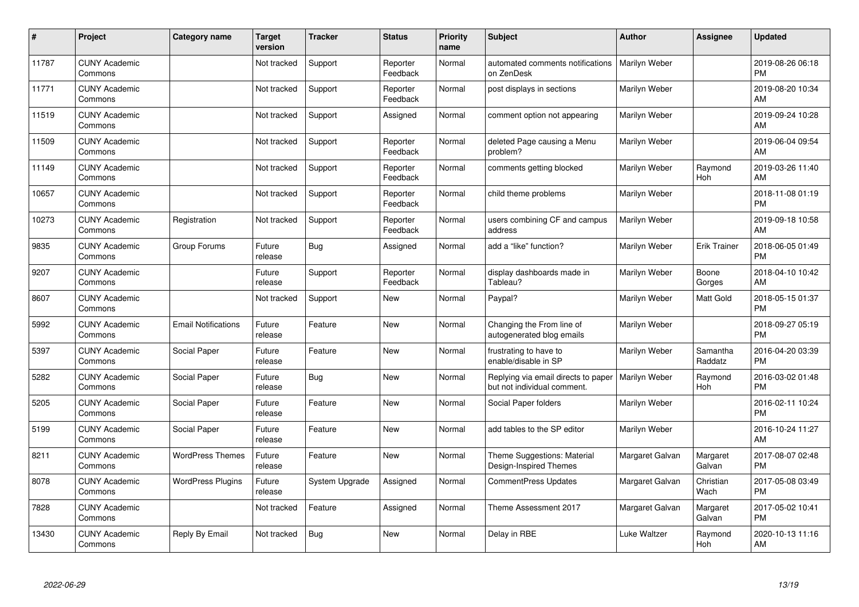| #     | Project                         | <b>Category name</b>       | <b>Target</b><br>version | <b>Tracker</b> | <b>Status</b>        | <b>Priority</b><br>name | <b>Subject</b>                                                     | <b>Author</b>   | <b>Assignee</b>     | <b>Updated</b>                |
|-------|---------------------------------|----------------------------|--------------------------|----------------|----------------------|-------------------------|--------------------------------------------------------------------|-----------------|---------------------|-------------------------------|
| 11787 | <b>CUNY Academic</b><br>Commons |                            | Not tracked              | Support        | Reporter<br>Feedback | Normal                  | automated comments notifications<br>on ZenDesk                     | Marilyn Weber   |                     | 2019-08-26 06:18<br><b>PM</b> |
| 11771 | <b>CUNY Academic</b><br>Commons |                            | Not tracked              | Support        | Reporter<br>Feedback | Normal                  | post displays in sections                                          | Marilyn Weber   |                     | 2019-08-20 10:34<br>AM        |
| 11519 | <b>CUNY Academic</b><br>Commons |                            | Not tracked              | Support        | Assigned             | Normal                  | comment option not appearing                                       | Marilyn Weber   |                     | 2019-09-24 10:28<br>AM        |
| 11509 | <b>CUNY Academic</b><br>Commons |                            | Not tracked              | Support        | Reporter<br>Feedback | Normal                  | deleted Page causing a Menu<br>problem?                            | Marilyn Weber   |                     | 2019-06-04 09:54<br>AM        |
| 11149 | <b>CUNY Academic</b><br>Commons |                            | Not tracked              | Support        | Reporter<br>Feedback | Normal                  | comments getting blocked                                           | Marilyn Weber   | Raymond<br>Hoh      | 2019-03-26 11:40<br>AM        |
| 10657 | <b>CUNY Academic</b><br>Commons |                            | Not tracked              | Support        | Reporter<br>Feedback | Normal                  | child theme problems                                               | Marilyn Weber   |                     | 2018-11-08 01:19<br><b>PM</b> |
| 10273 | <b>CUNY Academic</b><br>Commons | Registration               | Not tracked              | Support        | Reporter<br>Feedback | Normal                  | users combining CF and campus<br>address                           | Marilyn Weber   |                     | 2019-09-18 10:58<br>AM        |
| 9835  | <b>CUNY Academic</b><br>Commons | Group Forums               | Future<br>release        | Bug            | Assigned             | Normal                  | add a "like" function?                                             | Marilyn Weber   | <b>Erik Trainer</b> | 2018-06-05 01:49<br><b>PM</b> |
| 9207  | <b>CUNY Academic</b><br>Commons |                            | Future<br>release        | Support        | Reporter<br>Feedback | Normal                  | display dashboards made in<br>Tableau?                             | Marilyn Weber   | Boone<br>Gorges     | 2018-04-10 10:42<br>AM        |
| 8607  | <b>CUNY Academic</b><br>Commons |                            | Not tracked              | Support        | New                  | Normal                  | Paypal?                                                            | Marilyn Weber   | Matt Gold           | 2018-05-15 01:37<br><b>PM</b> |
| 5992  | <b>CUNY Academic</b><br>Commons | <b>Email Notifications</b> | Future<br>release        | Feature        | New                  | Normal                  | Changing the From line of<br>autogenerated blog emails             | Marilyn Weber   |                     | 2018-09-27 05:19<br><b>PM</b> |
| 5397  | <b>CUNY Academic</b><br>Commons | Social Paper               | Future<br>release        | Feature        | New                  | Normal                  | frustrating to have to<br>enable/disable in SP                     | Marilyn Weber   | Samantha<br>Raddatz | 2016-04-20 03:39<br><b>PM</b> |
| 5282  | <b>CUNY Academic</b><br>Commons | Social Paper               | Future<br>release        | Bug            | New                  | Normal                  | Replying via email directs to paper<br>but not individual comment. | Marilyn Weber   | Raymond<br>Hoh      | 2016-03-02 01:48<br><b>PM</b> |
| 5205  | <b>CUNY Academic</b><br>Commons | Social Paper               | Future<br>release        | Feature        | New                  | Normal                  | Social Paper folders                                               | Marilyn Weber   |                     | 2016-02-11 10:24<br><b>PM</b> |
| 5199  | <b>CUNY Academic</b><br>Commons | Social Paper               | Future<br>release        | Feature        | <b>New</b>           | Normal                  | add tables to the SP editor                                        | Marilyn Weber   |                     | 2016-10-24 11:27<br>AM        |
| 8211  | <b>CUNY Academic</b><br>Commons | <b>WordPress Themes</b>    | Future<br>release        | Feature        | New                  | Normal                  | Theme Suggestions: Material<br>Design-Inspired Themes              | Margaret Galvan | Margaret<br>Galvan  | 2017-08-07 02:48<br><b>PM</b> |
| 8078  | <b>CUNY Academic</b><br>Commons | <b>WordPress Plugins</b>   | Future<br>release        | System Upgrade | Assigned             | Normal                  | <b>CommentPress Updates</b>                                        | Margaret Galvan | Christian<br>Wach   | 2017-05-08 03:49<br><b>PM</b> |
| 7828  | <b>CUNY Academic</b><br>Commons |                            | Not tracked              | Feature        | Assigned             | Normal                  | Theme Assessment 2017                                              | Margaret Galvan | Margaret<br>Galvan  | 2017-05-02 10:41<br><b>PM</b> |
| 13430 | <b>CUNY Academic</b><br>Commons | Reply By Email             | Not tracked              | Bug            | <b>New</b>           | Normal                  | Delay in RBE                                                       | Luke Waltzer    | Raymond<br>Hoh      | 2020-10-13 11:16<br>AM        |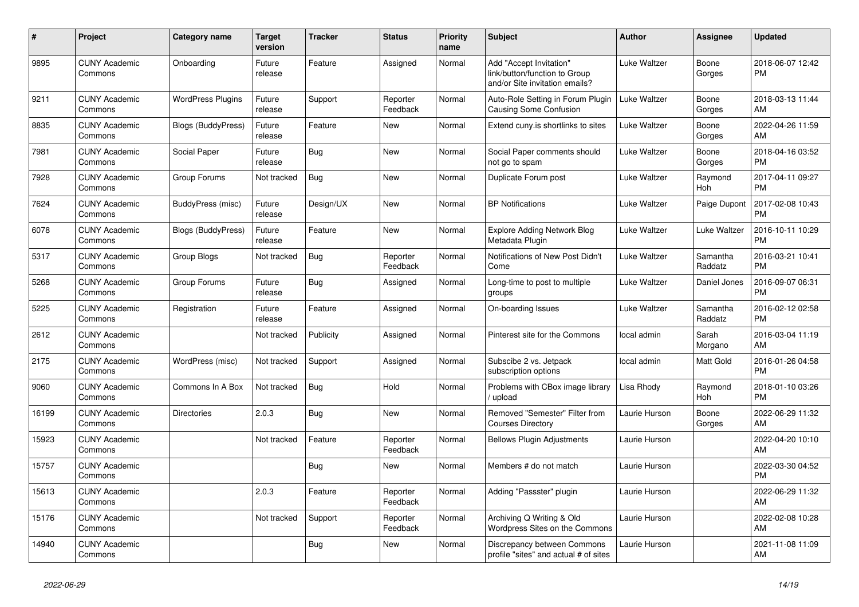| #     | <b>Project</b>                  | Category name            | <b>Target</b><br>version | <b>Tracker</b> | <b>Status</b>        | <b>Priority</b><br>name | <b>Subject</b>                                                                             | <b>Author</b> | Assignee            | <b>Updated</b>                |
|-------|---------------------------------|--------------------------|--------------------------|----------------|----------------------|-------------------------|--------------------------------------------------------------------------------------------|---------------|---------------------|-------------------------------|
| 9895  | <b>CUNY Academic</b><br>Commons | Onboarding               | Future<br>release        | Feature        | Assigned             | Normal                  | Add "Accept Invitation"<br>link/button/function to Group<br>and/or Site invitation emails? | Luke Waltzer  | Boone<br>Gorges     | 2018-06-07 12:42<br><b>PM</b> |
| 9211  | <b>CUNY Academic</b><br>Commons | <b>WordPress Plugins</b> | Future<br>release        | Support        | Reporter<br>Feedback | Normal                  | Auto-Role Setting in Forum Plugin<br>Causing Some Confusion                                | Luke Waltzer  | Boone<br>Gorges     | 2018-03-13 11:44<br>AM        |
| 8835  | <b>CUNY Academic</b><br>Commons | Blogs (BuddyPress)       | Future<br>release        | Feature        | <b>New</b>           | Normal                  | Extend cuny is shortlinks to sites                                                         | Luke Waltzer  | Boone<br>Gorges     | 2022-04-26 11:59<br>AM        |
| 7981  | <b>CUNY Academic</b><br>Commons | Social Paper             | Future<br>release        | Bug            | <b>New</b>           | Normal                  | Social Paper comments should<br>not go to spam                                             | Luke Waltzer  | Boone<br>Gorges     | 2018-04-16 03:52<br><b>PM</b> |
| 7928  | <b>CUNY Academic</b><br>Commons | Group Forums             | Not tracked              | <b>Bug</b>     | New                  | Normal                  | Duplicate Forum post                                                                       | Luke Waltzer  | Raymond<br>Hoh      | 2017-04-11 09:27<br><b>PM</b> |
| 7624  | <b>CUNY Academic</b><br>Commons | BuddyPress (misc)        | Future<br>release        | Design/UX      | <b>New</b>           | Normal                  | <b>BP Notifications</b>                                                                    | Luke Waltzer  | Paige Dupont        | 2017-02-08 10:43<br><b>PM</b> |
| 6078  | <b>CUNY Academic</b><br>Commons | Blogs (BuddyPress)       | Future<br>release        | Feature        | <b>New</b>           | Normal                  | <b>Explore Adding Network Blog</b><br>Metadata Plugin                                      | Luke Waltzer  | Luke Waltzer        | 2016-10-11 10:29<br><b>PM</b> |
| 5317  | <b>CUNY Academic</b><br>Commons | Group Blogs              | Not tracked              | Bug            | Reporter<br>Feedback | Normal                  | Notifications of New Post Didn't<br>Come                                                   | Luke Waltzer  | Samantha<br>Raddatz | 2016-03-21 10:41<br><b>PM</b> |
| 5268  | <b>CUNY Academic</b><br>Commons | Group Forums             | Future<br>release        | Bug            | Assigned             | Normal                  | Long-time to post to multiple<br>groups                                                    | Luke Waltzer  | Daniel Jones        | 2016-09-07 06:31<br><b>PM</b> |
| 5225  | <b>CUNY Academic</b><br>Commons | Registration             | Future<br>release        | Feature        | Assigned             | Normal                  | On-boarding Issues                                                                         | Luke Waltzer  | Samantha<br>Raddatz | 2016-02-12 02:58<br><b>PM</b> |
| 2612  | <b>CUNY Academic</b><br>Commons |                          | Not tracked              | Publicity      | Assigned             | Normal                  | Pinterest site for the Commons                                                             | local admin   | Sarah<br>Morgano    | 2016-03-04 11:19<br>AM        |
| 2175  | <b>CUNY Academic</b><br>Commons | WordPress (misc)         | Not tracked              | Support        | Assigned             | Normal                  | Subscibe 2 vs. Jetpack<br>subscription options                                             | local admin   | Matt Gold           | 2016-01-26 04:58<br><b>PM</b> |
| 9060  | <b>CUNY Academic</b><br>Commons | Commons In A Box         | Not tracked              | Bug            | Hold                 | Normal                  | Problems with CBox image library<br>/ upload                                               | Lisa Rhody    | Raymond<br>Hoh      | 2018-01-10 03:26<br><b>PM</b> |
| 16199 | <b>CUNY Academic</b><br>Commons | <b>Directories</b>       | 2.0.3                    | Bug            | New                  | Normal                  | Removed "Semester" Filter from<br><b>Courses Directory</b>                                 | Laurie Hurson | Boone<br>Gorges     | 2022-06-29 11:32<br>AM        |
| 15923 | <b>CUNY Academic</b><br>Commons |                          | Not tracked              | Feature        | Reporter<br>Feedback | Normal                  | <b>Bellows Plugin Adjustments</b>                                                          | Laurie Hurson |                     | 2022-04-20 10:10<br>AM        |
| 15757 | <b>CUNY Academic</b><br>Commons |                          |                          | <b>Bug</b>     | <b>New</b>           | Normal                  | Members # do not match                                                                     | Laurie Hurson |                     | 2022-03-30 04:52<br><b>PM</b> |
| 15613 | <b>CUNY Academic</b><br>Commons |                          | 2.0.3                    | Feature        | Reporter<br>Feedback | Normal                  | Adding "Passster" plugin                                                                   | Laurie Hurson |                     | 2022-06-29 11:32<br>AM        |
| 15176 | <b>CUNY Academic</b><br>Commons |                          | Not tracked              | Support        | Reporter<br>Feedback | Normal                  | Archiving Q Writing & Old<br>Wordpress Sites on the Commons                                | Laurie Hurson |                     | 2022-02-08 10:28<br>AM        |
| 14940 | <b>CUNY Academic</b><br>Commons |                          |                          | <b>Bug</b>     | <b>New</b>           | Normal                  | Discrepancy between Commons<br>profile "sites" and actual # of sites                       | Laurie Hurson |                     | 2021-11-08 11:09<br>AM        |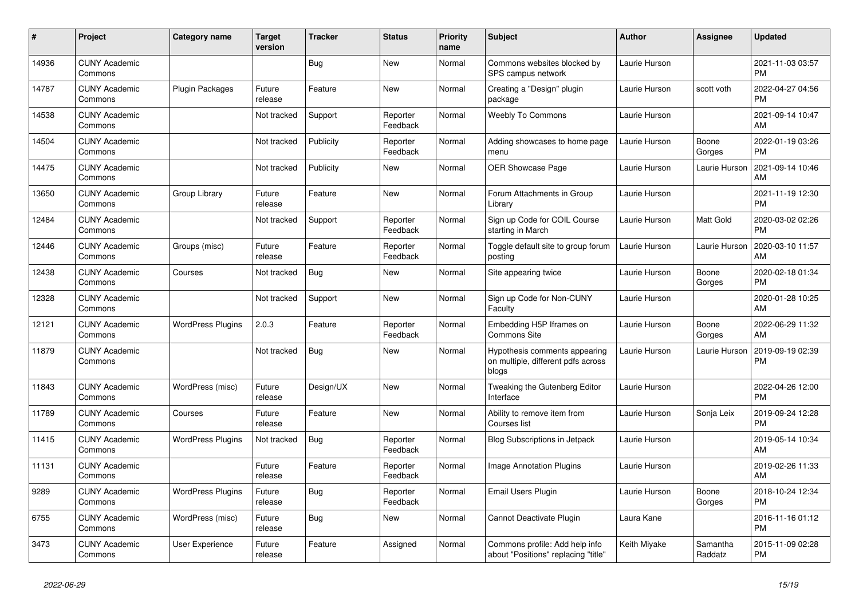| #     | Project                         | <b>Category name</b>     | <b>Target</b><br>version | <b>Tracker</b> | <b>Status</b>        | <b>Priority</b><br>name | <b>Subject</b>                                                               | <b>Author</b> | <b>Assignee</b>     | <b>Updated</b>                |
|-------|---------------------------------|--------------------------|--------------------------|----------------|----------------------|-------------------------|------------------------------------------------------------------------------|---------------|---------------------|-------------------------------|
| 14936 | <b>CUNY Academic</b><br>Commons |                          |                          | <b>Bug</b>     | New                  | Normal                  | Commons websites blocked by<br>SPS campus network                            | Laurie Hurson |                     | 2021-11-03 03:57<br><b>PM</b> |
| 14787 | <b>CUNY Academic</b><br>Commons | Plugin Packages          | Future<br>release        | Feature        | <b>New</b>           | Normal                  | Creating a "Design" plugin<br>package                                        | Laurie Hurson | scott voth          | 2022-04-27 04:56<br><b>PM</b> |
| 14538 | <b>CUNY Academic</b><br>Commons |                          | Not tracked              | Support        | Reporter<br>Feedback | Normal                  | <b>Weebly To Commons</b>                                                     | Laurie Hurson |                     | 2021-09-14 10:47<br>AM        |
| 14504 | <b>CUNY Academic</b><br>Commons |                          | Not tracked              | Publicity      | Reporter<br>Feedback | Normal                  | Adding showcases to home page<br>menu                                        | Laurie Hurson | Boone<br>Gorges     | 2022-01-19 03:26<br><b>PM</b> |
| 14475 | <b>CUNY Academic</b><br>Commons |                          | Not tracked              | Publicity      | New                  | Normal                  | <b>OER Showcase Page</b>                                                     | Laurie Hurson | Laurie Hurson       | 2021-09-14 10:46<br>AM        |
| 13650 | <b>CUNY Academic</b><br>Commons | Group Library            | Future<br>release        | Feature        | <b>New</b>           | Normal                  | Forum Attachments in Group<br>Library                                        | Laurie Hurson |                     | 2021-11-19 12:30<br><b>PM</b> |
| 12484 | <b>CUNY Academic</b><br>Commons |                          | Not tracked              | Support        | Reporter<br>Feedback | Normal                  | Sign up Code for COIL Course<br>starting in March                            | Laurie Hurson | Matt Gold           | 2020-03-02 02:26<br><b>PM</b> |
| 12446 | <b>CUNY Academic</b><br>Commons | Groups (misc)            | Future<br>release        | Feature        | Reporter<br>Feedback | Normal                  | Toggle default site to group forum<br>posting                                | Laurie Hurson | Laurie Hurson       | 2020-03-10 11:57<br>AM        |
| 12438 | <b>CUNY Academic</b><br>Commons | Courses                  | Not tracked              | <b>Bug</b>     | New                  | Normal                  | Site appearing twice                                                         | Laurie Hurson | Boone<br>Gorges     | 2020-02-18 01:34<br><b>PM</b> |
| 12328 | <b>CUNY Academic</b><br>Commons |                          | Not tracked              | Support        | <b>New</b>           | Normal                  | Sign up Code for Non-CUNY<br>Faculty                                         | Laurie Hurson |                     | 2020-01-28 10:25<br>AM        |
| 12121 | <b>CUNY Academic</b><br>Commons | <b>WordPress Plugins</b> | 2.0.3                    | Feature        | Reporter<br>Feedback | Normal                  | Embedding H5P Iframes on<br><b>Commons Site</b>                              | Laurie Hurson | Boone<br>Gorges     | 2022-06-29 11:32<br>AM        |
| 11879 | <b>CUNY Academic</b><br>Commons |                          | Not tracked              | Bug            | New                  | Normal                  | Hypothesis comments appearing<br>on multiple, different pdfs across<br>blogs | Laurie Hurson | Laurie Hurson       | 2019-09-19 02:39<br><b>PM</b> |
| 11843 | <b>CUNY Academic</b><br>Commons | WordPress (misc)         | Future<br>release        | Design/UX      | <b>New</b>           | Normal                  | Tweaking the Gutenberg Editor<br>Interface                                   | Laurie Hurson |                     | 2022-04-26 12:00<br><b>PM</b> |
| 11789 | <b>CUNY Academic</b><br>Commons | Courses                  | Future<br>release        | Feature        | New                  | Normal                  | Ability to remove item from<br>Courses list                                  | Laurie Hurson | Sonja Leix          | 2019-09-24 12:28<br><b>PM</b> |
| 11415 | <b>CUNY Academic</b><br>Commons | <b>WordPress Plugins</b> | Not tracked              | <b>Bug</b>     | Reporter<br>Feedback | Normal                  | Blog Subscriptions in Jetpack                                                | Laurie Hurson |                     | 2019-05-14 10:34<br><b>AM</b> |
| 11131 | <b>CUNY Academic</b><br>Commons |                          | Future<br>release        | Feature        | Reporter<br>Feedback | Normal                  | <b>Image Annotation Plugins</b>                                              | Laurie Hurson |                     | 2019-02-26 11:33<br>AM        |
| 9289  | <b>CUNY Academic</b><br>Commons | <b>WordPress Plugins</b> | Future<br>release        | Bug            | Reporter<br>Feedback | Normal                  | Email Users Plugin                                                           | Laurie Hurson | Boone<br>Gorges     | 2018-10-24 12:34<br><b>PM</b> |
| 6755  | <b>CUNY Academic</b><br>Commons | WordPress (misc)         | Future<br>release        | <b>Bug</b>     | New                  | Normal                  | Cannot Deactivate Plugin                                                     | Laura Kane    |                     | 2016-11-16 01:12<br><b>PM</b> |
| 3473  | <b>CUNY Academic</b><br>Commons | User Experience          | Future<br>release        | Feature        | Assigned             | Normal                  | Commons profile: Add help info<br>about "Positions" replacing "title"        | Keith Miyake  | Samantha<br>Raddatz | 2015-11-09 02:28<br>PM        |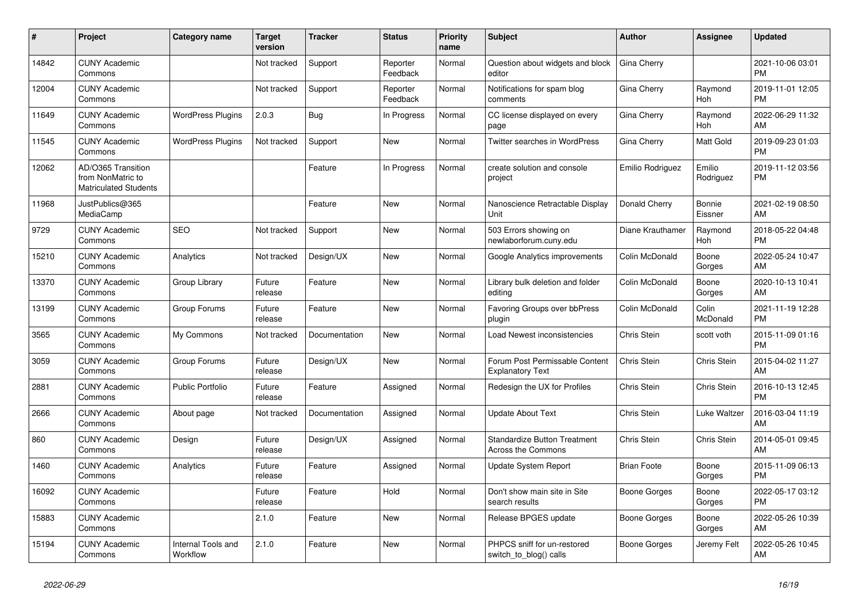| #     | Project                                                                 | <b>Category name</b>           | <b>Target</b><br>version | <b>Tracker</b> | <b>Status</b>        | <b>Priority</b><br>name | <b>Subject</b>                                            | <b>Author</b>      | Assignee            | <b>Updated</b>                |
|-------|-------------------------------------------------------------------------|--------------------------------|--------------------------|----------------|----------------------|-------------------------|-----------------------------------------------------------|--------------------|---------------------|-------------------------------|
| 14842 | <b>CUNY Academic</b><br>Commons                                         |                                | Not tracked              | Support        | Reporter<br>Feedback | Normal                  | Question about widgets and block<br>editor                | Gina Cherry        |                     | 2021-10-06 03:01<br><b>PM</b> |
| 12004 | <b>CUNY Academic</b><br>Commons                                         |                                | Not tracked              | Support        | Reporter<br>Feedback | Normal                  | Notifications for spam blog<br>comments                   | Gina Cherry        | Raymond<br>Hoh      | 2019-11-01 12:05<br><b>PM</b> |
| 11649 | <b>CUNY Academic</b><br>Commons                                         | <b>WordPress Plugins</b>       | 2.0.3                    | Bug            | In Progress          | Normal                  | CC license displayed on every<br>page                     | Gina Cherry        | Raymond<br>Hoh      | 2022-06-29 11:32<br>AM        |
| 11545 | <b>CUNY Academic</b><br>Commons                                         | <b>WordPress Plugins</b>       | Not tracked              | Support        | <b>New</b>           | Normal                  | <b>Twitter searches in WordPress</b>                      | Gina Cherry        | Matt Gold           | 2019-09-23 01:03<br><b>PM</b> |
| 12062 | AD/O365 Transition<br>from NonMatric to<br><b>Matriculated Students</b> |                                |                          | Feature        | In Progress          | Normal                  | create solution and console<br>project                    | Emilio Rodriguez   | Emilio<br>Rodriguez | 2019-11-12 03:56<br><b>PM</b> |
| 11968 | JustPublics@365<br>MediaCamp                                            |                                |                          | Feature        | <b>New</b>           | Normal                  | Nanoscience Retractable Display<br>Unit                   | Donald Cherry      | Bonnie<br>Eissner   | 2021-02-19 08:50<br>AM        |
| 9729  | <b>CUNY Academic</b><br>Commons                                         | SEO                            | Not tracked              | Support        | New                  | Normal                  | 503 Errors showing on<br>newlaborforum.cuny.edu           | Diane Krauthamer   | Raymond<br>Hoh      | 2018-05-22 04:48<br><b>PM</b> |
| 15210 | <b>CUNY Academic</b><br>Commons                                         | Analytics                      | Not tracked              | Design/UX      | <b>New</b>           | Normal                  | Google Analytics improvements                             | Colin McDonald     | Boone<br>Gorges     | 2022-05-24 10:47<br>AM        |
| 13370 | <b>CUNY Academic</b><br>Commons                                         | Group Library                  | Future<br>release        | Feature        | <b>New</b>           | Normal                  | Library bulk deletion and folder<br>editing               | Colin McDonald     | Boone<br>Gorges     | 2020-10-13 10:41<br>AM        |
| 13199 | <b>CUNY Academic</b><br>Commons                                         | Group Forums                   | Future<br>release        | Feature        | New                  | Normal                  | Favoring Groups over bbPress<br>plugin                    | Colin McDonald     | Colin<br>McDonald   | 2021-11-19 12:28<br><b>PM</b> |
| 3565  | <b>CUNY Academic</b><br>Commons                                         | My Commons                     | Not tracked              | Documentation  | New                  | Normal                  | Load Newest inconsistencies                               | Chris Stein        | scott voth          | 2015-11-09 01:16<br><b>PM</b> |
| 3059  | <b>CUNY Academic</b><br>Commons                                         | Group Forums                   | Future<br>release        | Design/UX      | <b>New</b>           | Normal                  | Forum Post Permissable Content<br><b>Explanatory Text</b> | Chris Stein        | Chris Stein         | 2015-04-02 11:27<br>AM        |
| 2881  | <b>CUNY Academic</b><br>Commons                                         | <b>Public Portfolio</b>        | Future<br>release        | Feature        | Assigned             | Normal                  | Redesign the UX for Profiles                              | Chris Stein        | Chris Stein         | 2016-10-13 12:45<br><b>PM</b> |
| 2666  | <b>CUNY Academic</b><br>Commons                                         | About page                     | Not tracked              | Documentation  | Assigned             | Normal                  | <b>Update About Text</b>                                  | Chris Stein        | Luke Waltzer        | 2016-03-04 11:19<br>AM        |
| 860   | <b>CUNY Academic</b><br>Commons                                         | Design                         | Future<br>release        | Design/UX      | Assigned             | Normal                  | <b>Standardize Button Treatment</b><br>Across the Commons | Chris Stein        | Chris Stein         | 2014-05-01 09:45<br>AM        |
| 1460  | <b>CUNY Academic</b><br>Commons                                         | Analytics                      | Future<br>release        | Feature        | Assigned             | Normal                  | <b>Update System Report</b>                               | <b>Brian Foote</b> | Boone<br>Gorges     | 2015-11-09 06:13<br><b>PM</b> |
| 16092 | <b>CUNY Academic</b><br>Commons                                         |                                | Future<br>release        | Feature        | Hold                 | Normal                  | Don't show main site in Site<br>search results            | Boone Gorges       | Boone<br>Gorges     | 2022-05-17 03:12<br><b>PM</b> |
| 15883 | <b>CUNY Academic</b><br>Commons                                         |                                | 2.1.0                    | Feature        | <b>New</b>           | Normal                  | Release BPGES update                                      | Boone Gorges       | Boone<br>Gorges     | 2022-05-26 10:39<br>AM        |
| 15194 | <b>CUNY Academic</b><br>Commons                                         | Internal Tools and<br>Workflow | 2.1.0                    | Feature        | <b>New</b>           | Normal                  | PHPCS sniff for un-restored<br>switch_to_blog() calls     | Boone Gorges       | Jeremy Felt         | 2022-05-26 10:45<br>AM        |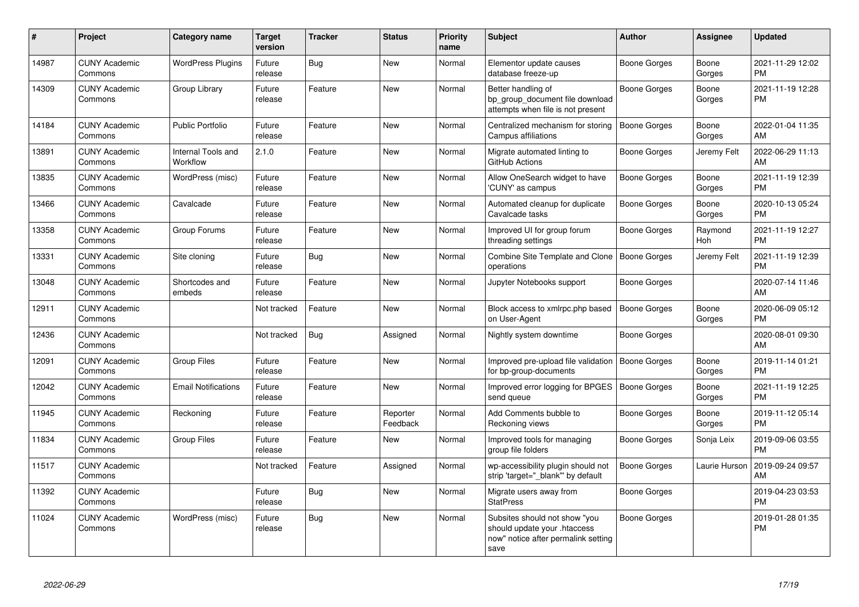| #     | Project                         | <b>Category name</b>           | <b>Target</b><br>version | <b>Tracker</b> | <b>Status</b>        | <b>Priority</b><br>name | <b>Subject</b>                                                                                               | <b>Author</b>       | <b>Assignee</b> | <b>Updated</b>                |
|-------|---------------------------------|--------------------------------|--------------------------|----------------|----------------------|-------------------------|--------------------------------------------------------------------------------------------------------------|---------------------|-----------------|-------------------------------|
| 14987 | <b>CUNY Academic</b><br>Commons | <b>WordPress Plugins</b>       | Future<br>release        | Bug            | <b>New</b>           | Normal                  | Elementor update causes<br>database freeze-up                                                                | Boone Gorges        | Boone<br>Gorges | 2021-11-29 12:02<br><b>PM</b> |
| 14309 | <b>CUNY Academic</b><br>Commons | Group Library                  | Future<br>release        | Feature        | <b>New</b>           | Normal                  | Better handling of<br>bp group document file download<br>attempts when file is not present                   | Boone Gorges        | Boone<br>Gorges | 2021-11-19 12:28<br><b>PM</b> |
| 14184 | <b>CUNY Academic</b><br>Commons | <b>Public Portfolio</b>        | Future<br>release        | Feature        | <b>New</b>           | Normal                  | Centralized mechanism for storing<br>Campus affiliations                                                     | <b>Boone Gorges</b> | Boone<br>Gorges | 2022-01-04 11:35<br>AM        |
| 13891 | <b>CUNY Academic</b><br>Commons | Internal Tools and<br>Workflow | 2.1.0                    | Feature        | <b>New</b>           | Normal                  | Migrate automated linting to<br>GitHub Actions                                                               | Boone Gorges        | Jeremy Felt     | 2022-06-29 11:13<br>AM        |
| 13835 | <b>CUNY Academic</b><br>Commons | WordPress (misc)               | Future<br>release        | Feature        | <b>New</b>           | Normal                  | Allow OneSearch widget to have<br>'CUNY' as campus                                                           | Boone Gorges        | Boone<br>Gorges | 2021-11-19 12:39<br><b>PM</b> |
| 13466 | <b>CUNY Academic</b><br>Commons | Cavalcade                      | Future<br>release        | Feature        | <b>New</b>           | Normal                  | Automated cleanup for duplicate<br>Cavalcade tasks                                                           | Boone Gorges        | Boone<br>Gorges | 2020-10-13 05:24<br><b>PM</b> |
| 13358 | <b>CUNY Academic</b><br>Commons | Group Forums                   | Future<br>release        | Feature        | New                  | Normal                  | Improved UI for group forum<br>threading settings                                                            | Boone Gorges        | Raymond<br>Hoh  | 2021-11-19 12:27<br><b>PM</b> |
| 13331 | <b>CUNY Academic</b><br>Commons | Site cloning                   | Future<br>release        | <b>Bug</b>     | New                  | Normal                  | Combine Site Template and Clone<br>operations                                                                | Boone Gorges        | Jeremy Felt     | 2021-11-19 12:39<br><b>PM</b> |
| 13048 | <b>CUNY Academic</b><br>Commons | Shortcodes and<br>embeds       | Future<br>release        | Feature        | New                  | Normal                  | Jupyter Notebooks support                                                                                    | Boone Gorges        |                 | 2020-07-14 11:46<br>AM        |
| 12911 | <b>CUNY Academic</b><br>Commons |                                | Not tracked              | Feature        | <b>New</b>           | Normal                  | Block access to xmlrpc.php based<br>on User-Agent                                                            | <b>Boone Gorges</b> | Boone<br>Gorges | 2020-06-09 05:12<br><b>PM</b> |
| 12436 | <b>CUNY Academic</b><br>Commons |                                | Not tracked              | Bug            | Assigned             | Normal                  | Nightly system downtime                                                                                      | Boone Gorges        |                 | 2020-08-01 09:30<br>AM        |
| 12091 | <b>CUNY Academic</b><br>Commons | <b>Group Files</b>             | Future<br>release        | Feature        | <b>New</b>           | Normal                  | Improved pre-upload file validation<br>for bp-group-documents                                                | Boone Gorges        | Boone<br>Gorges | 2019-11-14 01:21<br><b>PM</b> |
| 12042 | <b>CUNY Academic</b><br>Commons | <b>Email Notifications</b>     | Future<br>release        | Feature        | <b>New</b>           | Normal                  | Improved error logging for BPGES<br>send queue                                                               | Boone Gorges        | Boone<br>Gorges | 2021-11-19 12:25<br><b>PM</b> |
| 11945 | <b>CUNY Academic</b><br>Commons | Reckoning                      | Future<br>release        | Feature        | Reporter<br>Feedback | Normal                  | Add Comments bubble to<br>Reckoning views                                                                    | Boone Gorges        | Boone<br>Gorges | 2019-11-12 05:14<br><b>PM</b> |
| 11834 | <b>CUNY Academic</b><br>Commons | <b>Group Files</b>             | Future<br>release        | Feature        | New                  | Normal                  | Improved tools for managing<br>group file folders                                                            | Boone Gorges        | Sonja Leix      | 2019-09-06 03:55<br><b>PM</b> |
| 11517 | <b>CUNY Academic</b><br>Commons |                                | Not tracked              | Feature        | Assigned             | Normal                  | wp-accessibility plugin should not<br>strip 'target="_blank"' by default                                     | Boone Gorges        | Laurie Hurson   | 2019-09-24 09:57<br>AM        |
| 11392 | <b>CUNY Academic</b><br>Commons |                                | Future<br>release        | Bug            | New                  | Normal                  | Migrate users away from<br><b>StatPress</b>                                                                  | Boone Gorges        |                 | 2019-04-23 03:53<br><b>PM</b> |
| 11024 | <b>CUNY Academic</b><br>Commons | WordPress (misc)               | Future<br>release        | Bug            | <b>New</b>           | Normal                  | Subsites should not show "you<br>should update your .htaccess<br>now" notice after permalink setting<br>save | <b>Boone Gorges</b> |                 | 2019-01-28 01:35<br><b>PM</b> |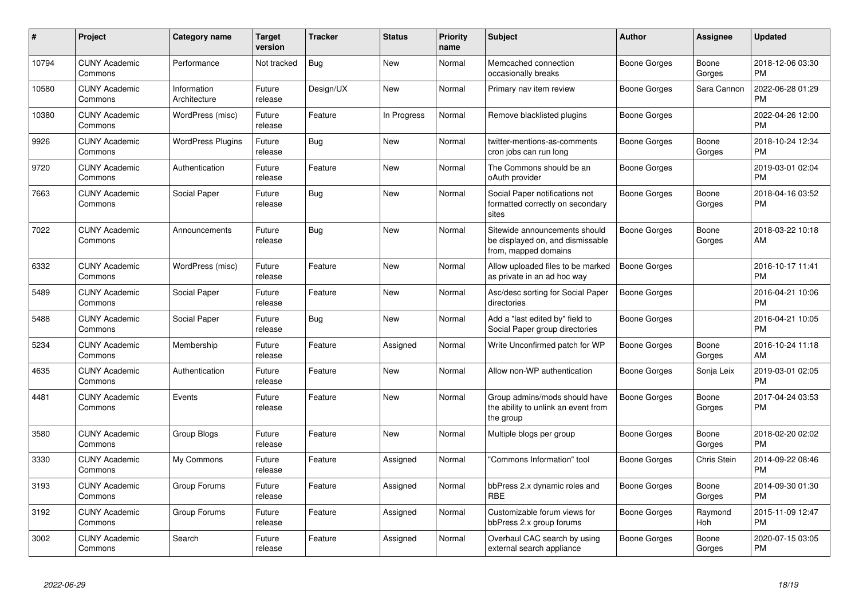| $\#$  | <b>Project</b>                  | Category name               | <b>Target</b><br>version | <b>Tracker</b> | <b>Status</b> | <b>Priority</b><br>name | <b>Subject</b>                                                                            | Author              | Assignee        | <b>Updated</b>                |
|-------|---------------------------------|-----------------------------|--------------------------|----------------|---------------|-------------------------|-------------------------------------------------------------------------------------------|---------------------|-----------------|-------------------------------|
| 10794 | <b>CUNY Academic</b><br>Commons | Performance                 | Not tracked              | <b>Bug</b>     | <b>New</b>    | Normal                  | Memcached connection<br>occasionally breaks                                               | Boone Gorges        | Boone<br>Gorges | 2018-12-06 03:30<br><b>PM</b> |
| 10580 | <b>CUNY Academic</b><br>Commons | Information<br>Architecture | Future<br>release        | Design/UX      | <b>New</b>    | Normal                  | Primary nav item review                                                                   | Boone Gorges        | Sara Cannon     | 2022-06-28 01:29<br><b>PM</b> |
| 10380 | <b>CUNY Academic</b><br>Commons | WordPress (misc)            | Future<br>release        | Feature        | In Progress   | Normal                  | Remove blacklisted plugins                                                                | Boone Gorges        |                 | 2022-04-26 12:00<br><b>PM</b> |
| 9926  | <b>CUNY Academic</b><br>Commons | <b>WordPress Plugins</b>    | Future<br>release        | <b>Bug</b>     | <b>New</b>    | Normal                  | twitter-mentions-as-comments<br>cron jobs can run long                                    | Boone Gorges        | Boone<br>Gorges | 2018-10-24 12:34<br><b>PM</b> |
| 9720  | <b>CUNY Academic</b><br>Commons | Authentication              | Future<br>release        | Feature        | New           | Normal                  | The Commons should be an<br>oAuth provider                                                | Boone Gorges        |                 | 2019-03-01 02:04<br><b>PM</b> |
| 7663  | <b>CUNY Academic</b><br>Commons | Social Paper                | Future<br>release        | Bug            | New           | Normal                  | Social Paper notifications not<br>formatted correctly on secondary<br>sites               | Boone Gorges        | Boone<br>Gorges | 2018-04-16 03:52<br><b>PM</b> |
| 7022  | <b>CUNY Academic</b><br>Commons | Announcements               | Future<br>release        | Bug            | <b>New</b>    | Normal                  | Sitewide announcements should<br>be displayed on, and dismissable<br>from, mapped domains | <b>Boone Gorges</b> | Boone<br>Gorges | 2018-03-22 10:18<br>AM        |
| 6332  | <b>CUNY Academic</b><br>Commons | WordPress (misc)            | Future<br>release        | Feature        | <b>New</b>    | Normal                  | Allow uploaded files to be marked<br>as private in an ad hoc way                          | Boone Gorges        |                 | 2016-10-17 11:41<br><b>PM</b> |
| 5489  | <b>CUNY Academic</b><br>Commons | Social Paper                | Future<br>release        | Feature        | New           | Normal                  | Asc/desc sorting for Social Paper<br>directories                                          | Boone Gorges        |                 | 2016-04-21 10:06<br><b>PM</b> |
| 5488  | <b>CUNY Academic</b><br>Commons | Social Paper                | Future<br>release        | Bug            | New           | Normal                  | Add a "last edited by" field to<br>Social Paper group directories                         | Boone Gorges        |                 | 2016-04-21 10:05<br><b>PM</b> |
| 5234  | <b>CUNY Academic</b><br>Commons | Membership                  | Future<br>release        | Feature        | Assigned      | Normal                  | Write Unconfirmed patch for WP                                                            | Boone Gorges        | Boone<br>Gorges | 2016-10-24 11:18<br>AM        |
| 4635  | <b>CUNY Academic</b><br>Commons | Authentication              | Future<br>release        | Feature        | <b>New</b>    | Normal                  | Allow non-WP authentication                                                               | Boone Gorges        | Sonja Leix      | 2019-03-01 02:05<br><b>PM</b> |
| 4481  | <b>CUNY Academic</b><br>Commons | Events                      | Future<br>release        | Feature        | <b>New</b>    | Normal                  | Group admins/mods should have<br>the ability to unlink an event from<br>the group         | Boone Gorges        | Boone<br>Gorges | 2017-04-24 03:53<br>PM        |
| 3580  | <b>CUNY Academic</b><br>Commons | Group Blogs                 | Future<br>release        | Feature        | New           | Normal                  | Multiple blogs per group                                                                  | Boone Gorges        | Boone<br>Gorges | 2018-02-20 02:02<br>PM.       |
| 3330  | <b>CUNY Academic</b><br>Commons | My Commons                  | Future<br>release        | Feature        | Assigned      | Normal                  | "Commons Information" tool                                                                | Boone Gorges        | Chris Stein     | 2014-09-22 08:46<br><b>PM</b> |
| 3193  | <b>CUNY Academic</b><br>Commons | Group Forums                | Future<br>release        | Feature        | Assigned      | Normal                  | bbPress 2.x dynamic roles and<br><b>RBE</b>                                               | Boone Gorges        | Boone<br>Gorges | 2014-09-30 01:30<br><b>PM</b> |
| 3192  | <b>CUNY Academic</b><br>Commons | Group Forums                | Future<br>release        | Feature        | Assigned      | Normal                  | Customizable forum views for<br>bbPress 2.x group forums                                  | Boone Gorges        | Raymond<br>Hoh  | 2015-11-09 12:47<br><b>PM</b> |
| 3002  | <b>CUNY Academic</b><br>Commons | Search                      | Future<br>release        | Feature        | Assigned      | Normal                  | Overhaul CAC search by using<br>external search appliance                                 | Boone Gorges        | Boone<br>Gorges | 2020-07-15 03:05<br>PM        |